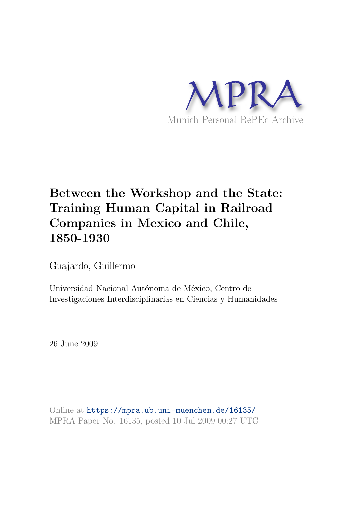

# **Between the Workshop and the State: Training Human Capital in Railroad Companies in Mexico and Chile, 1850-1930**

Guajardo, Guillermo

Universidad Nacional Autónoma de México, Centro de Investigaciones Interdisciplinarias en Ciencias y Humanidades

26 June 2009

Online at https://mpra.ub.uni-muenchen.de/16135/ MPRA Paper No. 16135, posted 10 Jul 2009 00:27 UTC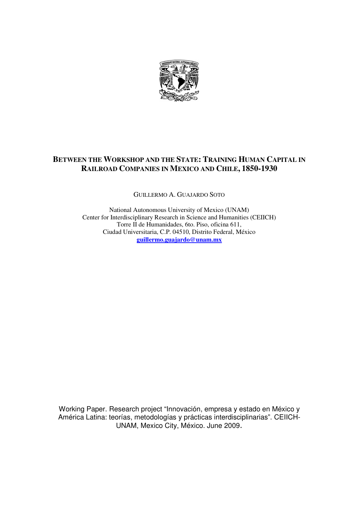

# **BETWEEN THE WORKSHOP AND THE STATE: TRAINING HUMAN CAPITAL IN RAILROAD COMPANIES IN MEXICO AND CHILE, 1850-1930**

GUILLERMO A. GUAJARDO SOTO

National Autonomous University of Mexico (UNAM) Center for Interdisciplinary Research in Science and Humanities (CEIICH) Torre II de Humanidades, 6to. Piso, oficina 611, Ciudad Universitaria, C.P. 04510, Distrito Federal, México **guillermo.guajardo@unam.mx**

Working Paper. Research project "Innovación, empresa y estado en México y América Latina: teorías, metodologías y prácticas interdisciplinarias". CEIICH-UNAM, Mexico City, México. June 2009-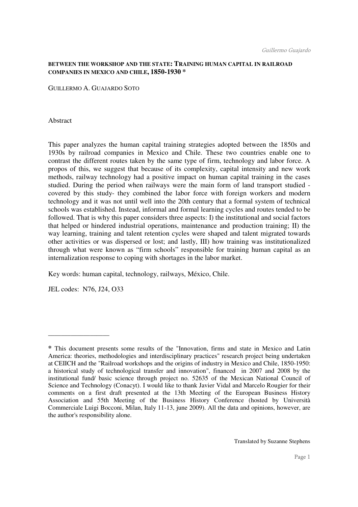# **BETWEEN THE WORKSHOP AND THE STATE: TRAINING HUMAN CAPITAL IN RAILROAD COMPANIES IN MEXICO AND CHILE, 1850-1930 \***

GUILLERMO A. GUAJARDO SOTO

Abstract

This paper analyzes the human capital training strategies adopted between the 1850s and 1930s by railroad companies in Mexico and Chile. These two countries enable one to contrast the different routes taken by the same type of firm, technology and labor force. A propos of this, we suggest that because of its complexity, capital intensity and new work methods, railway technology had a positive impact on human capital training in the cases studied. During the period when railways were the main form of land transport studied covered by this study- they combined the labor force with foreign workers and modern technology and it was not until well into the 20th century that a formal system of technical schools was established. Instead, informal and formal learning cycles and routes tended to be followed. That is why this paper considers three aspects: I) the institutional and social factors that helped or hindered industrial operations, maintenance and production training; II) the way learning, training and talent retention cycles were shaped and talent migrated towards other activities or was dispersed or lost; and lastly, III) how training was institutionalized through what were known as "firm schools" responsible for training human capital as an internalization response to coping with shortages in the labor market.

Key words: human capital, technology, railways, México, Chile.

JEL codes:N76, J24, O33

\_\_\_\_\_\_\_\_\_\_\_\_\_\_\_\_\_\_\_

**<sup>\*</sup>** This document presents some results of the "Innovation, firms and state in Mexico and Latin America: theories, methodologies and interdisciplinary practices" research project being undertaken at CEIICH and the "Railroad workshops and the origins of industry in Mexico and Chile, 1850-1950: a historical study of technological transfer and innovation", financed in 2007 and 2008 by the institutional fund/ basic science through project no. 52635 of the Mexican National Council of Science and Technology (Conacyt). I would like to thank Javier Vidal and Marcelo Rougier for their comments on a first draft presented at the 13th Meeting of the European Business History Association and 55th Meeting of the Business History Conference (hosted by Università Commerciale Luigi Bocconi, Milan, Italy 11-13, june 2009). All the data and opinions, however, are the author's responsibility alone.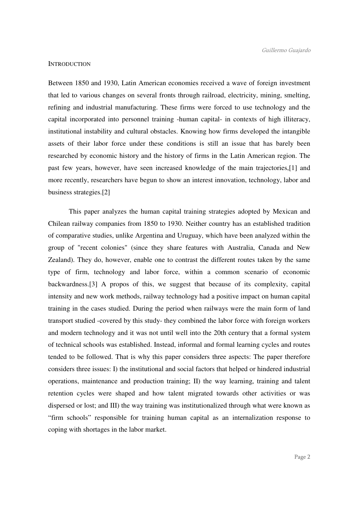# **INTRODUCTION**

Between 1850 and 1930, Latin American economies received a wave of foreign investment that led to various changes on several fronts through railroad, electricity, mining, smelting, refining and industrial manufacturing. These firms were forced to use technology and the capital incorporated into personnel training -human capital- in contexts of high illiteracy, institutional instability and cultural obstacles. Knowing how firms developed the intangible assets of their labor force under these conditions is still an issue that has barely been researched by economic history and the history of firms in the Latin American region. The past few years, however, have seen increased knowledge of the main trajectories,[1] and more recently, researchers have begun to show an interest innovation, technology, labor and business strategies.[2]

 This paper analyzes the human capital training strategies adopted by Mexican and Chilean railway companies from 1850 to 1930. Neither country has an established tradition of comparative studies, unlike Argentina and Uruguay, which have been analyzed within the group of "recent colonies" (since they share features with Australia, Canada and New Zealand). They do, however, enable one to contrast the different routes taken by the same type of firm, technology and labor force, within a common scenario of economic backwardness.[3] A propos of this, we suggest that because of its complexity, capital intensity and new work methods, railway technology had a positive impact on human capital training in the cases studied. During the period when railways were the main form of land transport studied -covered by this study- they combined the labor force with foreign workers and modern technology and it was not until well into the 20th century that a formal system of technical schools was established. Instead, informal and formal learning cycles and routes tended to be followed. That is why this paper considers three aspects: The paper therefore considers three issues: I) the institutional and social factors that helped or hindered industrial operations, maintenance and production training; II) the way learning, training and talent retention cycles were shaped and how talent migrated towards other activities or was dispersed or lost; and III) the way training was institutionalized through what were known as "firm schools" responsible for training human capital as an internalization response to coping with shortages in the labor market.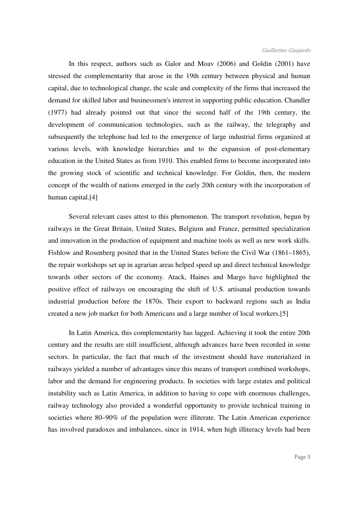In this respect, authors such as Galor and Moav (2006) and Goldin (2001) have stressed the complementarity that arose in the 19th century between physical and human capital, due to technological change, the scale and complexity of the firms that increased the demand for skilled labor and businessmen's interest in supporting public education. Chandler (1977) had already pointed out that since the second half of the 19th century, the development of communication technologies, such as the railway, the telegraphy and subsequently the telephone had led to the emergence of large industrial firms organized at various levels, with knowledge hierarchies and to the expansion of post-elementary education in the United States as from 1910. This enabled firms to become incorporated into the growing stock of scientific and technical knowledge. For Goldin, then, the modern concept of the wealth of nations emerged in the early 20th century with the incorporation of human capital.[4]

 Several relevant cases attest to this phenomenon. The transport revolution, begun by railways in the Great Britain, United States, Belgium and France, permitted specialization and innovation in the production of equipment and machine tools as well as new work skills. Fishlow and Rosenberg posited that in the United States before the Civil War (1861–1865), the repair workshops set up in agrarian areas helped speed up and direct technical knowledge towards other sectors of the economy. Atack, Haines and Margo have highlighted the positive effect of railways on encouraging the shift of U.S. artisanal production towards industrial production before the 1870s. Their export to backward regions such as India created a new job market for both Americans and a large number of local workers.[5]

 In Latin America, this complementarity has lagged. Achieving it took the entire 20th century and the results are still insufficient, although advances have been recorded in some sectors. In particular, the fact that much of the investment should have materialized in railways yielded a number of advantages since this means of transport combined workshops, labor and the demand for engineering products. In societies with large estates and political instability such as Latin America, in addition to having to cope with enormous challenges, railway technology also provided a wonderful opportunity to provide technical training in societies where 80–90% of the population were illiterate. The Latin American experience has involved paradoxes and imbalances, since in 1914, when high illiteracy levels had been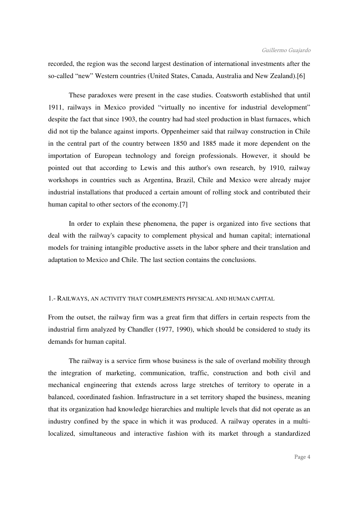recorded, the region was the second largest destination of international investments after the so-called "new" Western countries (United States, Canada, Australia and New Zealand).[6]

 These paradoxes were present in the case studies. Coatsworth established that until 1911, railways in Mexico provided "virtually no incentive for industrial development" despite the fact that since 1903, the country had had steel production in blast furnaces, which did not tip the balance against imports. Oppenheimer said that railway construction in Chile in the central part of the country between 1850 and 1885 made it more dependent on the importation of European technology and foreign professionals. However, it should be pointed out that according to Lewis and this author's own research, by 1910, railway workshops in countries such as Argentina, Brazil, Chile and Mexico were already major industrial installations that produced a certain amount of rolling stock and contributed their human capital to other sectors of the economy.[7]

 In order to explain these phenomena, the paper is organized into five sections that deal with the railway's capacity to complement physical and human capital; international models for training intangible productive assets in the labor sphere and their translation and adaptation to Mexico and Chile. The last section contains the conclusions.

# 1.- RAILWAYS, AN ACTIVITY THAT COMPLEMENTS PHYSICAL AND HUMAN CAPITAL

From the outset, the railway firm was a great firm that differs in certain respects from the industrial firm analyzed by Chandler (1977, 1990), which should be considered to study its demands for human capital.

 The railway is a service firm whose business is the sale of overland mobility through the integration of marketing, communication, traffic, construction and both civil and mechanical engineering that extends across large stretches of territory to operate in a balanced, coordinated fashion. Infrastructure in a set territory shaped the business, meaning that its organization had knowledge hierarchies and multiple levels that did not operate as an industry confined by the space in which it was produced. A railway operates in a multilocalized, simultaneous and interactive fashion with its market through a standardized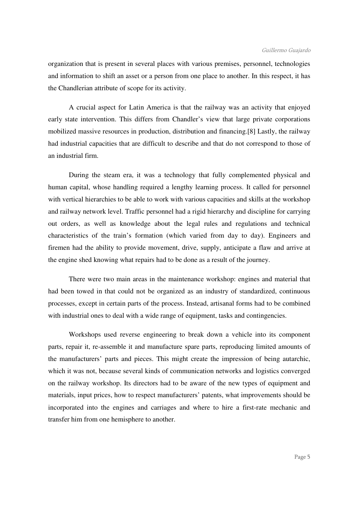organization that is present in several places with various premises, personnel, technologies and information to shift an asset or a person from one place to another. In this respect, it has the Chandlerian attribute of scope for its activity.

 A crucial aspect for Latin America is that the railway was an activity that enjoyed early state intervention. This differs from Chandler's view that large private corporations mobilized massive resources in production, distribution and financing.[8] Lastly, the railway had industrial capacities that are difficult to describe and that do not correspond to those of an industrial firm.

 During the steam era, it was a technology that fully complemented physical and human capital, whose handling required a lengthy learning process. It called for personnel with vertical hierarchies to be able to work with various capacities and skills at the workshop and railway network level. Traffic personnel had a rigid hierarchy and discipline for carrying out orders, as well as knowledge about the legal rules and regulations and technical characteristics of the train's formation (which varied from day to day). Engineers and firemen had the ability to provide movement, drive, supply, anticipate a flaw and arrive at the engine shed knowing what repairs had to be done as a result of the journey.

 There were two main areas in the maintenance workshop: engines and material that had been towed in that could not be organized as an industry of standardized, continuous processes, except in certain parts of the process. Instead, artisanal forms had to be combined with industrial ones to deal with a wide range of equipment, tasks and contingencies.

 Workshops used reverse engineering to break down a vehicle into its component parts, repair it, re-assemble it and manufacture spare parts, reproducing limited amounts of the manufacturers' parts and pieces. This might create the impression of being autarchic, which it was not, because several kinds of communication networks and logistics converged on the railway workshop. Its directors had to be aware of the new types of equipment and materials, input prices, how to respect manufacturers' patents, what improvements should be incorporated into the engines and carriages and where to hire a first-rate mechanic and transfer him from one hemisphere to another.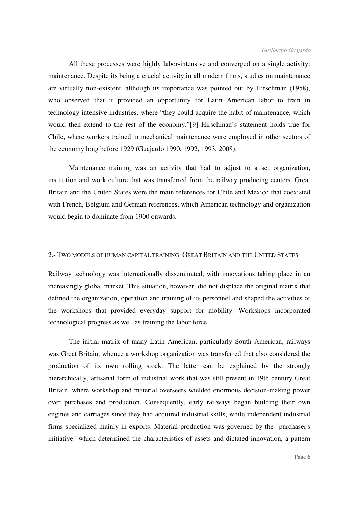All these processes were highly labor-intensive and converged on a single activity: maintenance. Despite its being a crucial activity in all modern firms, studies on maintenance are virtually non-existent, although its importance was pointed out by Hirschman (1958), who observed that it provided an opportunity for Latin American labor to train in technology-intensive industries, where "they could acquire the habit of maintenance, which would then extend to the rest of the economy."[9] Hirschman's statement holds true for Chile, where workers trained in mechanical maintenance were employed in other sectors of the economy long before 1929 (Guajardo 1990, 1992, 1993, 2008).

 Maintenance training was an activity that had to adjust to a set organization, institution and work culture that was transferred from the railway producing centers. Great Britain and the United States were the main references for Chile and Mexico that coexisted with French, Belgium and German references, which American technology and organization would begin to dominate from 1900 onwards.

# 2.- TWO MODELS OF HUMAN CAPITAL TRAINING: GREAT BRITAIN AND THE UNITED STATES

Railway technology was internationally disseminated, with innovations taking place in an increasingly global market. This situation, however, did not displace the original matrix that defined the organization, operation and training of its personnel and shaped the activities of the workshops that provided everyday support for mobility. Workshops incorporated technological progress as well as training the labor force.

 The initial matrix of many Latin American, particularly South American, railways was Great Britain, whence a workshop organization was transferred that also considered the production of its own rolling stock. The latter can be explained by the strongly hierarchically, artisanal form of industrial work that was still present in 19th century Great Britain, where workshop and material overseers wielded enormous decision-making power over purchases and production. Consequently, early railways began building their own engines and carriages since they had acquired industrial skills, while independent industrial firms specialized mainly in exports. Material production was governed by the "purchaser's initiative" which determined the characteristics of assets and dictated innovation, a pattern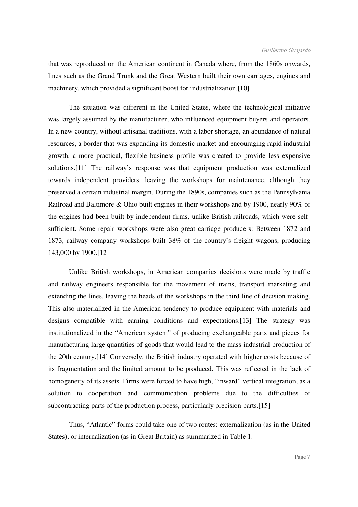that was reproduced on the American continent in Canada where, from the 1860s onwards, lines such as the Grand Trunk and the Great Western built their own carriages, engines and machinery, which provided a significant boost for industrialization.[10]

 The situation was different in the United States, where the technological initiative was largely assumed by the manufacturer, who influenced equipment buyers and operators. In a new country, without artisanal traditions, with a labor shortage, an abundance of natural resources, a border that was expanding its domestic market and encouraging rapid industrial growth, a more practical, flexible business profile was created to provide less expensive solutions.[11] The railway's response was that equipment production was externalized towards independent providers, leaving the workshops for maintenance, although they preserved a certain industrial margin. During the 1890s, companies such as the Pennsylvania Railroad and Baltimore & Ohio built engines in their workshops and by 1900, nearly 90% of the engines had been built by independent firms, unlike British railroads, which were selfsufficient. Some repair workshops were also great carriage producers: Between 1872 and 1873, railway company workshops built 38% of the country's freight wagons, producing 143,000 by 1900.[12]

 Unlike British workshops, in American companies decisions were made by traffic and railway engineers responsible for the movement of trains, transport marketing and extending the lines, leaving the heads of the workshops in the third line of decision making. This also materialized in the American tendency to produce equipment with materials and designs compatible with earning conditions and expectations.[13] The strategy was institutionalized in the "American system" of producing exchangeable parts and pieces for manufacturing large quantities of goods that would lead to the mass industrial production of the 20th century.[14] Conversely, the British industry operated with higher costs because of its fragmentation and the limited amount to be produced. This was reflected in the lack of homogeneity of its assets. Firms were forced to have high, "inward" vertical integration, as a solution to cooperation and communication problems due to the difficulties of subcontracting parts of the production process, particularly precision parts.[15]

 Thus, "Atlantic" forms could take one of two routes: externalization (as in the United States), or internalization (as in Great Britain) as summarized in Table 1.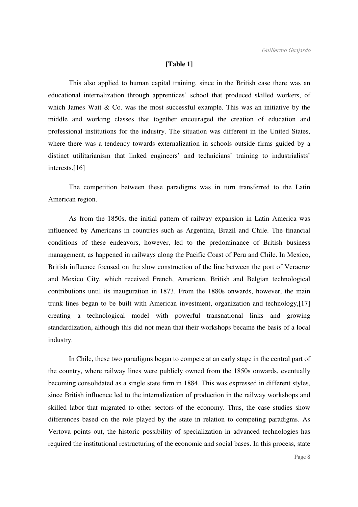# **[Table 1]**

 This also applied to human capital training, since in the British case there was an educational internalization through apprentices' school that produced skilled workers, of which James Watt & Co. was the most successful example. This was an initiative by the middle and working classes that together encouraged the creation of education and professional institutions for the industry. The situation was different in the United States, where there was a tendency towards externalization in schools outside firms guided by a distinct utilitarianism that linked engineers' and technicians' training to industrialists' interests.[16]

 The competition between these paradigms was in turn transferred to the Latin American region.

 As from the 1850s, the initial pattern of railway expansion in Latin America was influenced by Americans in countries such as Argentina, Brazil and Chile. The financial conditions of these endeavors, however, led to the predominance of British business management, as happened in railways along the Pacific Coast of Peru and Chile. In Mexico, British influence focused on the slow construction of the line between the port of Veracruz and Mexico City, which received French, American, British and Belgian technological contributions until its inauguration in 1873. From the 1880s onwards, however, the main trunk lines began to be built with American investment, organization and technology,[17] creating a technological model with powerful transnational links and growing standardization, although this did not mean that their workshops became the basis of a local industry.

 In Chile, these two paradigms began to compete at an early stage in the central part of the country, where railway lines were publicly owned from the 1850s onwards, eventually becoming consolidated as a single state firm in 1884. This was expressed in different styles, since British influence led to the internalization of production in the railway workshops and skilled labor that migrated to other sectors of the economy. Thus, the case studies show differences based on the role played by the state in relation to competing paradigms. As Vertova points out, the historic possibility of specialization in advanced technologies has required the institutional restructuring of the economic and social bases. In this process, state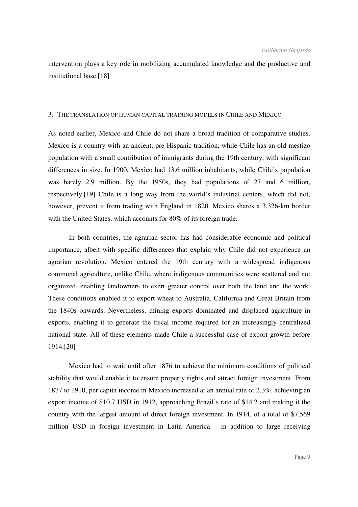intervention plays a key role in mobilizing accumulated knowledge and the productive and institutional base.[18]

# 3.- THE TRANSLATION OF HUMAN CAPITAL TRAINING MODELS IN CHILE AND MEXICO

As noted earlier, Mexico and Chile do not share a broad tradition of comparative studies. Mexico is a country with an ancient, pre-Hispanic tradition, while Chile has an old mestizo population with a small contribution of immigrants during the 19th century, with significant differences in size. In 1900, Mexico had 13.6 million inhabitants, while Chile's population was barely 2.9 million. By the 1950s, they had populations of 27 and 6 million, respectively.[19] Chile is a long way from the world's industrial centers, which did not, however, prevent it from trading with England in 1820. Mexico shares a 3,326-km border with the United States, which accounts for 80% of its foreign trade.

 In both countries, the agrarian sector has had considerable economic and political importance, albeit with specific differences that explain why Chile did not experience an agrarian revolution. Mexico entered the 19th century with a widespread indigenous communal agriculture, unlike Chile, where indigenous communities were scattered and not organized, enabling landowners to exert greater control over both the land and the work. These conditions enabled it to export wheat to Australia, California and Great Britain from the 1840s onwards. Nevertheless, mining exports dominated and displaced agriculture in exports, enabling it to generate the fiscal income required for an increasingly centralized national state. All of these elements made Chile a successful case of export growth before 1914.[20]

 Mexico had to wait until after 1876 to achieve the minimum conditions of political stability that would enable it to ensure property rights and attract foreign investment. From 1877 to 1910, per capita income in Mexico increased at an annual rate of 2.3%, achieving an export income of \$10.7 USD in 1912, approaching Brazil's rate of \$14.2 and making it the country with the largest amount of direct foreign investment. In 1914, of a total of \$7,569 million USD in foreign investment in Latin America –in addition to large receiving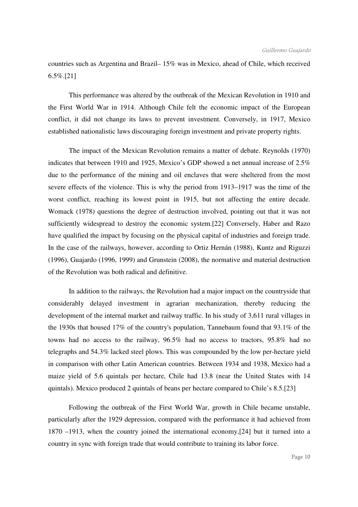countries such as Argentina and Brazil– 15% was in Mexico, ahead of Chile, which received 6.5%.[21]

 This performance was altered by the outbreak of the Mexican Revolution in 1910 and the First World War in 1914. Although Chile felt the economic impact of the European conflict, it did not change its laws to prevent investment. Conversely, in 1917, Mexico established nationalistic laws discouraging foreign investment and private property rights.

 The impact of the Mexican Revolution remains a matter of debate. Reynolds (1970) indicates that between 1910 and 1925, Mexico's GDP showed a net annual increase of 2.5% due to the performance of the mining and oil enclaves that were sheltered from the most severe effects of the violence. This is why the period from 1913–1917 was the time of the worst conflict, reaching its lowest point in 1915, but not affecting the entire decade. Womack (1978) questions the degree of destruction involved, pointing out that it was not sufficiently widespread to destroy the economic system.[22] Conversely, Haber and Razo have qualified the impact by focusing on the physical capital of industries and foreign trade. In the case of the railways, however, according to Ortiz Hernán (1988), Kuntz and Riguzzi (1996), Guajardo (1996, 1999) and Grunstein (2008), the normative and material destruction of the Revolution was both radical and definitive.

 In addition to the railways, the Revolution had a major impact on the countryside that considerably delayed investment in agrarian mechanization, thereby reducing the development of the internal market and railway traffic. In his study of 3,611 rural villages in the 1930s that housed 17% of the country's population, Tannebaum found that 93.1% of the towns had no access to the railway, 96.5% had no access to tractors, 95.8% had no telegraphs and 54.3% lacked steel plows. This was compounded by the low per-hectare yield in comparison with other Latin American countries. Between 1934 and 1938, Mexico had a maize yield of 5.6 quintals per hectare, Chile had 13.8 (near the United States with 14 quintals). Mexico produced 2 quintals of beans per hectare compared to Chile's 8.5.[23]

 Following the outbreak of the First World War, growth in Chile became unstable, particularly after the 1929 depression, compared with the performance it had achieved from 1870 –1913, when the country joined the international economy,[24] but it turned into a country in sync with foreign trade that would contribute to training its labor force.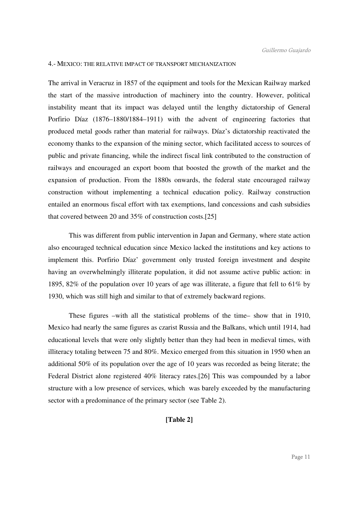# 4.- MEXICO: THE RELATIVE IMPACT OF TRANSPORT MECHANIZATION

The arrival in Veracruz in 1857 of the equipment and tools for the Mexican Railway marked the start of the massive introduction of machinery into the country. However, political instability meant that its impact was delayed until the lengthy dictatorship of General Porfirio Díaz (1876–1880/1884–1911) with the advent of engineering factories that produced metal goods rather than material for railways. Díaz's dictatorship reactivated the economy thanks to the expansion of the mining sector, which facilitated access to sources of public and private financing, while the indirect fiscal link contributed to the construction of railways and encouraged an export boom that boosted the growth of the market and the expansion of production. From the 1880s onwards, the federal state encouraged railway construction without implementing a technical education policy. Railway construction entailed an enormous fiscal effort with tax exemptions, land concessions and cash subsidies that covered between 20 and 35% of construction costs.[25]

 This was different from public intervention in Japan and Germany, where state action also encouraged technical education since Mexico lacked the institutions and key actions to implement this. Porfirio Díaz' government only trusted foreign investment and despite having an overwhelmingly illiterate population, it did not assume active public action: in 1895, 82% of the population over 10 years of age was illiterate, a figure that fell to 61% by 1930, which was still high and similar to that of extremely backward regions.

 These figures –with all the statistical problems of the time– show that in 1910, Mexico had nearly the same figures as czarist Russia and the Balkans, which until 1914, had educational levels that were only slightly better than they had been in medieval times, with illiteracy totaling between 75 and 80%. Mexico emerged from this situation in 1950 when an additional 50% of its population over the age of 10 years was recorded as being literate; the Federal District alone registered 40% literacy rates.[26] This was compounded by a labor structure with a low presence of services, which was barely exceeded by the manufacturing sector with a predominance of the primary sector (see Table 2).

# **[Table 2]**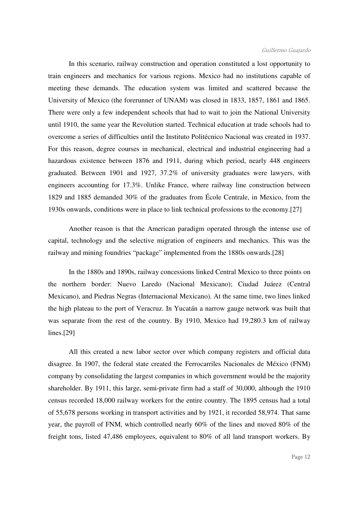In this scenario, railway construction and operation constituted a lost opportunity to train engineers and mechanics for various regions. Mexico had no institutions capable of meeting these demands. The education system was limited and scattered because the University of Mexico (the forerunner of UNAM) was closed in 1833, 1857, 1861 and 1865. There were only a few independent schools that had to wait to join the National University until 1910, the same year the Revolution started. Technical education at trade schools had to overcome a series of difficulties until the Instituto Politécnico Nacional was created in 1937. For this reason, degree courses in mechanical, electrical and industrial engineering had a hazardous existence between 1876 and 1911, during which period, nearly 448 engineers graduated. Between 1901 and 1927, 37.2% of university graduates were lawyers, with engineers accounting for 17.3%. Unlike France, where railway line construction between 1829 and 1885 demanded 30% of the graduates from École Centrale, in Mexico, from the 1930s onwards, conditions were in place to link technical professions to the economy.[27]

 Another reason is that the American paradigm operated through the intense use of capital, technology and the selective migration of engineers and mechanics. This was the railway and mining foundries "package" implemented from the 1880s onwards.[28]

 In the 1880s and 1890s, railway concessions linked Central Mexico to three points on the northern border: Nuevo Laredo (Nacional Mexicano); Ciudad Juárez (Central Mexicano), and Piedras Negras (Internacional Mexicano). At the same time, two lines linked the high plateau to the port of Veracruz. In Yucatán a narrow gauge network was built that was separate from the rest of the country. By 1910, Mexico had 19,280.3 km of railway lines.[29]

 All this created a new labor sector over which company registers and official data disagree. In 1907, the federal state created the Ferrocarriles Nacionales de México (FNM) company by consolidating the largest companies in which government would be the majority shareholder. By 1911, this large, semi-private firm had a staff of 30,000, although the 1910 census recorded 18,000 railway workers for the entire country. The 1895 census had a total of 55,678 persons working in transport activities and by 1921, it recorded 58,974. That same year, the payroll of FNM, which controlled nearly 60% of the lines and moved 80% of the freight tons, listed 47,486 employees, equivalent to 80% of all land transport workers. By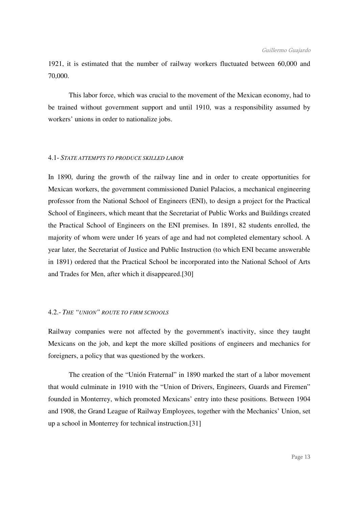1921, it is estimated that the number of railway workers fluctuated between 60,000 and 70,000.

 This labor force, which was crucial to the movement of the Mexican economy, had to be trained without government support and until 1910, was a responsibility assumed by workers' unions in order to nationalize jobs.

# 4.1- *STATE ATTEMPTS TO PRODUCE SKILLED LABOR*

In 1890, during the growth of the railway line and in order to create opportunities for Mexican workers, the government commissioned Daniel Palacios, a mechanical engineering professor from the National School of Engineers (ENI), to design a project for the Practical School of Engineers, which meant that the Secretariat of Public Works and Buildings created the Practical School of Engineers on the ENI premises. In 1891, 82 students enrolled, the majority of whom were under 16 years of age and had not completed elementary school. A year later, the Secretariat of Justice and Public Instruction (to which ENI became answerable in 1891) ordered that the Practical School be incorporated into the National School of Arts and Trades for Men, after which it disappeared.[30]

# 4.2.- *THE "UNION" ROUTE TO FIRM SCHOOLS*

Railway companies were not affected by the government's inactivity, since they taught Mexicans on the job, and kept the more skilled positions of engineers and mechanics for foreigners, a policy that was questioned by the workers.

 The creation of the "Unión Fraternal" in 1890 marked the start of a labor movement that would culminate in 1910 with the "Union of Drivers, Engineers, Guards and Firemen" founded in Monterrey, which promoted Mexicans' entry into these positions. Between 1904 and 1908, the Grand League of Railway Employees, together with the Mechanics' Union, set up a school in Monterrey for technical instruction.[31]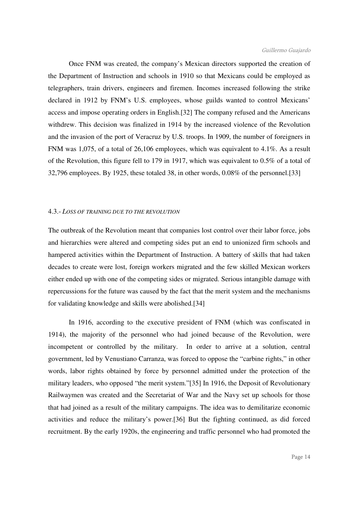Once FNM was created, the company's Mexican directors supported the creation of the Department of Instruction and schools in 1910 so that Mexicans could be employed as telegraphers, train drivers, engineers and firemen. Incomes increased following the strike declared in 1912 by FNM's U.S. employees, whose guilds wanted to control Mexicans' access and impose operating orders in English.[32] The company refused and the Americans withdrew. This decision was finalized in 1914 by the increased violence of the Revolution and the invasion of the port of Veracruz by U.S. troops. In 1909, the number of foreigners in FNM was 1,075, of a total of 26,106 employees, which was equivalent to 4.1%. As a result of the Revolution, this figure fell to 179 in 1917, which was equivalent to 0.5% of a total of 32,796 employees. By 1925, these totaled 38, in other words, 0.08% of the personnel.[33]

# 4.3.- *LOSS OF TRAINING DUE TO THE REVOLUTION*

The outbreak of the Revolution meant that companies lost control over their labor force, jobs and hierarchies were altered and competing sides put an end to unionized firm schools and hampered activities within the Department of Instruction. A battery of skills that had taken decades to create were lost, foreign workers migrated and the few skilled Mexican workers either ended up with one of the competing sides or migrated. Serious intangible damage with repercussions for the future was caused by the fact that the merit system and the mechanisms for validating knowledge and skills were abolished.[34]

 In 1916, according to the executive president of FNM (which was confiscated in 1914), the majority of the personnel who had joined because of the Revolution, were incompetent or controlled by the military. In order to arrive at a solution, central government, led by Venustiano Carranza, was forced to oppose the "carbine rights," in other words, labor rights obtained by force by personnel admitted under the protection of the military leaders, who opposed "the merit system."[35] In 1916, the Deposit of Revolutionary Railwaymen was created and the Secretariat of War and the Navy set up schools for those that had joined as a result of the military campaigns. The idea was to demilitarize economic activities and reduce the military's power.[36] But the fighting continued, as did forced recruitment. By the early 1920s, the engineering and traffic personnel who had promoted the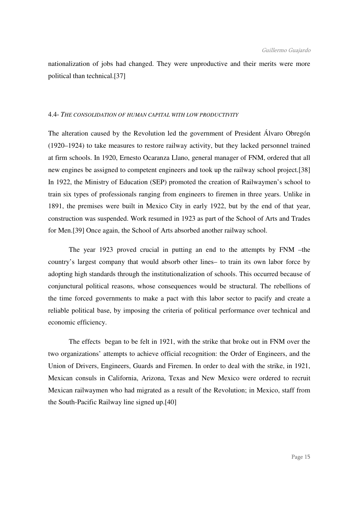nationalization of jobs had changed. They were unproductive and their merits were more political than technical.[37]

# 4.4- *THE CONSOLIDATION OF HUMAN CAPITAL WITH LOW PRODUCTIVITY*

The alteration caused by the Revolution led the government of President Álvaro Obregón (1920–1924) to take measures to restore railway activity, but they lacked personnel trained at firm schools. In 1920, Ernesto Ocaranza Llano, general manager of FNM, ordered that all new engines be assigned to competent engineers and took up the railway school project.[38] In 1922, the Ministry of Education (SEP) promoted the creation of Railwaymen's school to train six types of professionals ranging from engineers to firemen in three years. Unlike in 1891, the premises were built in Mexico City in early 1922, but by the end of that year, construction was suspended. Work resumed in 1923 as part of the School of Arts and Trades for Men.[39] Once again, the School of Arts absorbed another railway school.

 The year 1923 proved crucial in putting an end to the attempts by FNM –the country's largest company that would absorb other lines– to train its own labor force by adopting high standards through the institutionalization of schools. This occurred because of conjunctural political reasons, whose consequences would be structural. The rebellions of the time forced governments to make a pact with this labor sector to pacify and create a reliable political base, by imposing the criteria of political performance over technical and economic efficiency.

 The effects began to be felt in 1921, with the strike that broke out in FNM over the two organizations' attempts to achieve official recognition: the Order of Engineers, and the Union of Drivers, Engineers, Guards and Firemen. In order to deal with the strike, in 1921, Mexican consuls in California, Arizona, Texas and New Mexico were ordered to recruit Mexican railwaymen who had migrated as a result of the Revolution; in Mexico, staff from the South-Pacific Railway line signed up.[40]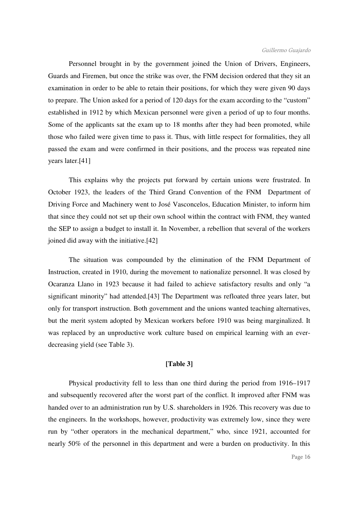#### Guillermo Guajardo

 Personnel brought in by the government joined the Union of Drivers, Engineers, Guards and Firemen, but once the strike was over, the FNM decision ordered that they sit an examination in order to be able to retain their positions, for which they were given 90 days to prepare. The Union asked for a period of 120 days for the exam according to the "custom" established in 1912 by which Mexican personnel were given a period of up to four months. Some of the applicants sat the exam up to 18 months after they had been promoted, while those who failed were given time to pass it. Thus, with little respect for formalities, they all passed the exam and were confirmed in their positions, and the process was repeated nine years later.[41]

 This explains why the projects put forward by certain unions were frustrated. In October 1923, the leaders of the Third Grand Convention of the FNM Department of Driving Force and Machinery went to José Vasconcelos, Education Minister, to inform him that since they could not set up their own school within the contract with FNM, they wanted the SEP to assign a budget to install it. In November, a rebellion that several of the workers joined did away with the initiative.[42]

 The situation was compounded by the elimination of the FNM Department of Instruction, created in 1910, during the movement to nationalize personnel. It was closed by Ocaranza Llano in 1923 because it had failed to achieve satisfactory results and only "a significant minority" had attended.[43] The Department was refloated three years later, but only for transport instruction. Both government and the unions wanted teaching alternatives, but the merit system adopted by Mexican workers before 1910 was being marginalized. It was replaced by an unproductive work culture based on empirical learning with an everdecreasing yield (see Table 3).

# **[Table 3]**

 Physical productivity fell to less than one third during the period from 1916–1917 and subsequently recovered after the worst part of the conflict. It improved after FNM was handed over to an administration run by U.S. shareholders in 1926. This recovery was due to the engineers. In the workshops, however, productivity was extremely low, since they were run by "other operators in the mechanical department," who, since 1921, accounted for nearly 50% of the personnel in this department and were a burden on productivity. In this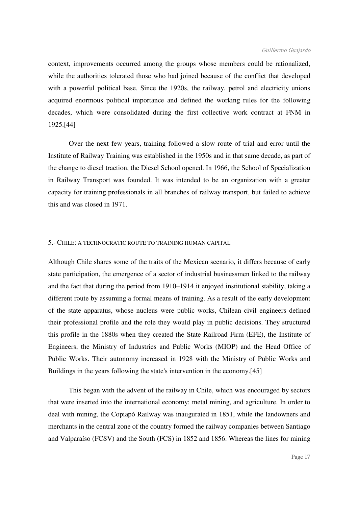#### Guillermo Guajardo

context, improvements occurred among the groups whose members could be rationalized, while the authorities tolerated those who had joined because of the conflict that developed with a powerful political base. Since the 1920s, the railway, petrol and electricity unions acquired enormous political importance and defined the working rules for the following decades, which were consolidated during the first collective work contract at FNM in 1925.[44]

 Over the next few years, training followed a slow route of trial and error until the Institute of Railway Training was established in the 1950s and in that same decade, as part of the change to diesel traction, the Diesel School opened. In 1966, the School of Specialization in Railway Transport was founded. It was intended to be an organization with a greater capacity for training professionals in all branches of railway transport, but failed to achieve this and was closed in 1971.

# 5.- CHILE: A TECHNOCRATIC ROUTE TO TRAINING HUMAN CAPITAL

Although Chile shares some of the traits of the Mexican scenario, it differs because of early state participation, the emergence of a sector of industrial businessmen linked to the railway and the fact that during the period from 1910–1914 it enjoyed institutional stability, taking a different route by assuming a formal means of training. As a result of the early development of the state apparatus, whose nucleus were public works, Chilean civil engineers defined their professional profile and the role they would play in public decisions. They structured this profile in the 1880s when they created the State Railroad Firm (EFE), the Institute of Engineers, the Ministry of Industries and Public Works (MIOP) and the Head Office of Public Works. Their autonomy increased in 1928 with the Ministry of Public Works and Buildings in the years following the state's intervention in the economy.[45]

 This began with the advent of the railway in Chile, which was encouraged by sectors that were inserted into the international economy: metal mining, and agriculture. In order to deal with mining, the Copiapó Railway was inaugurated in 1851, while the landowners and merchants in the central zone of the country formed the railway companies between Santiago and Valparaíso (FCSV) and the South (FCS) in 1852 and 1856. Whereas the lines for mining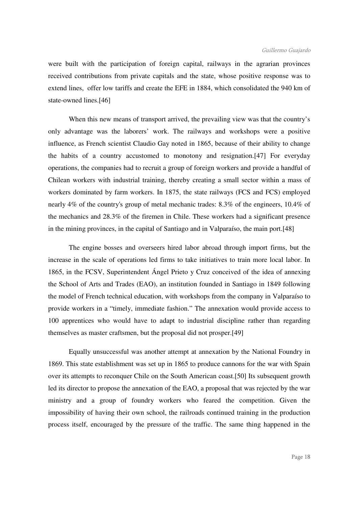were built with the participation of foreign capital, railways in the agrarian provinces received contributions from private capitals and the state, whose positive response was to extend lines, offer low tariffs and create the EFE in 1884, which consolidated the 940 km of state-owned lines.[46]

 When this new means of transport arrived, the prevailing view was that the country's only advantage was the laborers' work. The railways and workshops were a positive influence, as French scientist Claudio Gay noted in 1865, because of their ability to change the habits of a country accustomed to monotony and resignation.[47] For everyday operations, the companies had to recruit a group of foreign workers and provide a handful of Chilean workers with industrial training, thereby creating a small sector within a mass of workers dominated by farm workers. In 1875, the state railways (FCS and FCS) employed nearly 4% of the country's group of metal mechanic trades: 8.3% of the engineers, 10.4% of the mechanics and 28.3% of the firemen in Chile. These workers had a significant presence in the mining provinces, in the capital of Santiago and in Valparaíso, the main port.[48]

 The engine bosses and overseers hired labor abroad through import firms, but the increase in the scale of operations led firms to take initiatives to train more local labor. In 1865, in the FCSV, Superintendent Ángel Prieto y Cruz conceived of the idea of annexing the School of Arts and Trades (EAO), an institution founded in Santiago in 1849 following the model of French technical education, with workshops from the company in Valparaíso to provide workers in a "timely, immediate fashion." The annexation would provide access to 100 apprentices who would have to adapt to industrial discipline rather than regarding themselves as master craftsmen, but the proposal did not prosper.[49]

 Equally unsuccessful was another attempt at annexation by the National Foundry in 1869. This state establishment was set up in 1865 to produce cannons for the war with Spain over its attempts to reconquer Chile on the South American coast.[50] Its subsequent growth led its director to propose the annexation of the EAO, a proposal that was rejected by the war ministry and a group of foundry workers who feared the competition. Given the impossibility of having their own school, the railroads continued training in the production process itself, encouraged by the pressure of the traffic. The same thing happened in the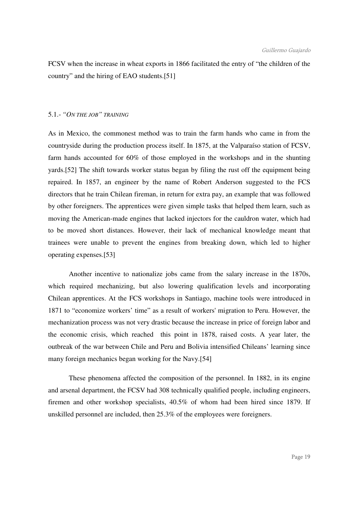FCSV when the increase in wheat exports in 1866 facilitated the entry of "the children of the country" and the hiring of EAO students.[51]

#### 5.1.- *"ON THE JOB" TRAINING*

As in Mexico, the commonest method was to train the farm hands who came in from the countryside during the production process itself. In 1875, at the Valparaíso station of FCSV, farm hands accounted for 60% of those employed in the workshops and in the shunting yards.[52] The shift towards worker status began by filing the rust off the equipment being repaired. In 1857, an engineer by the name of Robert Anderson suggested to the FCS directors that he train Chilean fireman, in return for extra pay, an example that was followed by other foreigners. The apprentices were given simple tasks that helped them learn, such as moving the American-made engines that lacked injectors for the cauldron water, which had to be moved short distances. However, their lack of mechanical knowledge meant that trainees were unable to prevent the engines from breaking down, which led to higher operating expenses.[53]

 Another incentive to nationalize jobs came from the salary increase in the 1870s, which required mechanizing, but also lowering qualification levels and incorporating Chilean apprentices. At the FCS workshops in Santiago, machine tools were introduced in 1871 to "economize workers' time" as a result of workers' migration to Peru. However, the mechanization process was not very drastic because the increase in price of foreign labor and the economic crisis, which reached this point in 1878, raised costs. A year later, the outbreak of the war between Chile and Peru and Bolivia intensified Chileans' learning since many foreign mechanics began working for the Navy.[54]

 These phenomena affected the composition of the personnel. In 1882, in its engine and arsenal department, the FCSV had 308 technically qualified people, including engineers, firemen and other workshop specialists, 40.5% of whom had been hired since 1879. If unskilled personnel are included, then 25.3% of the employees were foreigners.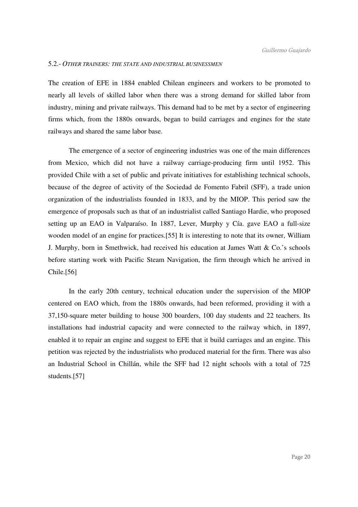# 5.2.- *OTHER TRAINERS: THE STATE AND INDUSTRIAL BUSINESSMEN*

The creation of EFE in 1884 enabled Chilean engineers and workers to be promoted to nearly all levels of skilled labor when there was a strong demand for skilled labor from industry, mining and private railways. This demand had to be met by a sector of engineering firms which, from the 1880s onwards, began to build carriages and engines for the state railways and shared the same labor base.

 The emergence of a sector of engineering industries was one of the main differences from Mexico, which did not have a railway carriage-producing firm until 1952. This provided Chile with a set of public and private initiatives for establishing technical schools, because of the degree of activity of the Sociedad de Fomento Fabril (SFF), a trade union organization of the industrialists founded in 1833, and by the MIOP. This period saw the emergence of proposals such as that of an industrialist called Santiago Hardie, who proposed setting up an EAO in Valparaíso. In 1887, Lever, Murphy y Cía. gave EAO a full-size wooden model of an engine for practices.[55] It is interesting to note that its owner, William J. Murphy, born in Smethwick, had received his education at James Watt & Co.'s schools before starting work with Pacific Steam Navigation, the firm through which he arrived in Chile.[56]

 In the early 20th century, technical education under the supervision of the MIOP centered on EAO which, from the 1880s onwards, had been reformed, providing it with a 37,150-square meter building to house 300 boarders, 100 day students and 22 teachers. Its installations had industrial capacity and were connected to the railway which, in 1897, enabled it to repair an engine and suggest to EFE that it build carriages and an engine. This petition was rejected by the industrialists who produced material for the firm. There was also an Industrial School in Chillán, while the SFF had 12 night schools with a total of 725 students.[57]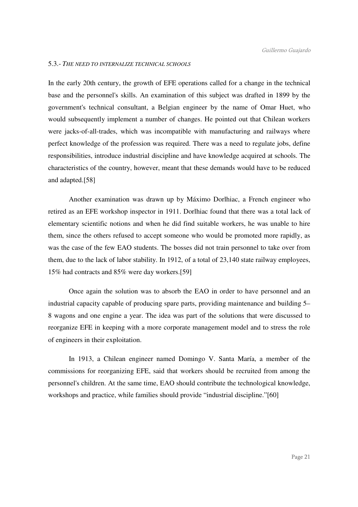# 5.3.- *THE NEED TO INTERNALIZE TECHNICAL SCHOOLS*

In the early 20th century, the growth of EFE operations called for a change in the technical base and the personnel's skills. An examination of this subject was drafted in 1899 by the government's technical consultant, a Belgian engineer by the name of Omar Huet, who would subsequently implement a number of changes. He pointed out that Chilean workers were jacks-of-all-trades, which was incompatible with manufacturing and railways where perfect knowledge of the profession was required. There was a need to regulate jobs, define responsibilities, introduce industrial discipline and have knowledge acquired at schools. The characteristics of the country, however, meant that these demands would have to be reduced and adapted.[58]

 Another examination was drawn up by Máximo Dorlhiac, a French engineer who retired as an EFE workshop inspector in 1911. Dorlhiac found that there was a total lack of elementary scientific notions and when he did find suitable workers, he was unable to hire them, since the others refused to accept someone who would be promoted more rapidly, as was the case of the few EAO students. The bosses did not train personnel to take over from them, due to the lack of labor stability. In 1912, of a total of 23,140 state railway employees, 15% had contracts and 85% were day workers.[59]

 Once again the solution was to absorb the EAO in order to have personnel and an industrial capacity capable of producing spare parts, providing maintenance and building 5– 8 wagons and one engine a year. The idea was part of the solutions that were discussed to reorganize EFE in keeping with a more corporate management model and to stress the role of engineers in their exploitation.

 In 1913, a Chilean engineer named Domingo V. Santa María, a member of the commissions for reorganizing EFE, said that workers should be recruited from among the personnel's children. At the same time, EAO should contribute the technological knowledge, workshops and practice, while families should provide "industrial discipline."[60]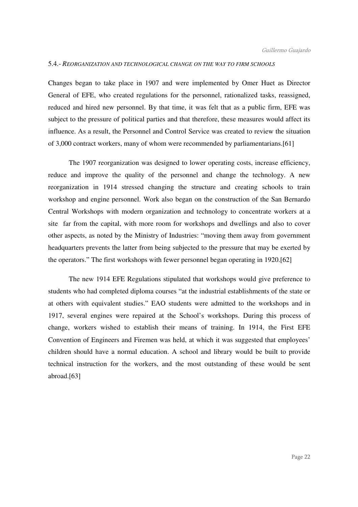#### 5.4.- *REORGANIZATION AND TECHNOLOGICAL CHANGE ON THE WAY TO FIRM SCHOOLS*

Changes began to take place in 1907 and were implemented by Omer Huet as Director General of EFE, who created regulations for the personnel, rationalized tasks, reassigned, reduced and hired new personnel. By that time, it was felt that as a public firm, EFE was subject to the pressure of political parties and that therefore, these measures would affect its influence. As a result, the Personnel and Control Service was created to review the situation of 3,000 contract workers, many of whom were recommended by parliamentarians.[61]

 The 1907 reorganization was designed to lower operating costs, increase efficiency, reduce and improve the quality of the personnel and change the technology. A new reorganization in 1914 stressed changing the structure and creating schools to train workshop and engine personnel. Work also began on the construction of the San Bernardo Central Workshops with modern organization and technology to concentrate workers at a site far from the capital, with more room for workshops and dwellings and also to cover other aspects, as noted by the Ministry of Industries: "moving them away from government headquarters prevents the latter from being subjected to the pressure that may be exerted by the operators." The first workshops with fewer personnel began operating in 1920.[62]

 The new 1914 EFE Regulations stipulated that workshops would give preference to students who had completed diploma courses "at the industrial establishments of the state or at others with equivalent studies." EAO students were admitted to the workshops and in 1917, several engines were repaired at the School's workshops. During this process of change, workers wished to establish their means of training. In 1914, the First EFE Convention of Engineers and Firemen was held, at which it was suggested that employees' children should have a normal education. A school and library would be built to provide technical instruction for the workers, and the most outstanding of these would be sent abroad.[63]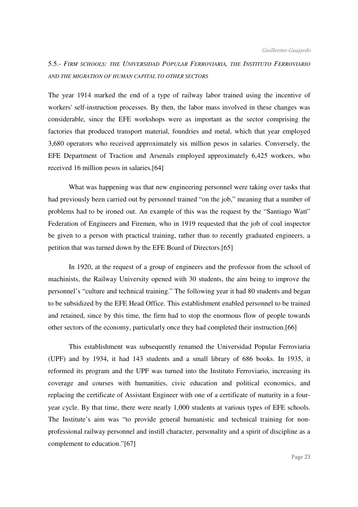# 5.5.- *FIRM SCHOOLS: THE UNIVERSIDAD POPULAR FERROVIARIA, THE INSTITUTO FERROVIARIO AND THE MIGRATION OF HUMAN CAPITAL TO OTHER SECTORS*

The year 1914 marked the end of a type of railway labor trained using the incentive of workers' self-instruction processes. By then, the labor mass involved in these changes was considerable, since the EFE workshops were as important as the sector comprising the factories that produced transport material, foundries and metal, which that year employed 3,680 operators who received approximately six million pesos in salaries. Conversely, the EFE Department of Traction and Arsenals employed approximately 6,425 workers, who received 16 million pesos in salaries.[64]

 What was happening was that new engineering personnel were taking over tasks that had previously been carried out by personnel trained "on the job," meaning that a number of problems had to be ironed out. An example of this was the request by the "Santiago Watt" Federation of Engineers and Firemen, who in 1919 requested that the job of coal inspector be given to a person with practical training, rather than to recently graduated engineers, a petition that was turned down by the EFE Board of Directors.[65]

 In 1920, at the request of a group of engineers and the professor from the school of machinists, the Railway University opened with 30 students, the aim being to improve the personnel's "culture and technical training." The following year it had 80 students and began to be subsidized by the EFE Head Office. This establishment enabled personnel to be trained and retained, since by this time, the firm had to stop the enormous flow of people towards other sectors of the economy, particularly once they had completed their instruction.[66]

 This establishment was subsequently renamed the Universidad Popular Ferroviaria (UPF) and by 1934, it had 143 students and a small library of 686 books. In 1935, it reformed its program and the UPF was turned into the Instituto Ferroviario, increasing its coverage and courses with humanities, civic education and political economics, and replacing the certificate of Assistant Engineer with one of a certificate of maturity in a fouryear cycle. By that time, there were nearly 1,000 students at various types of EFE schools. The Institute's aim was "to provide general humanistic and technical training for nonprofessional railway personnel and instill character, personality and a spirit of discipline as a complement to education."[67]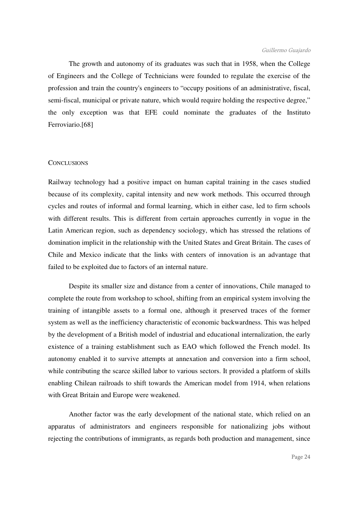The growth and autonomy of its graduates was such that in 1958, when the College of Engineers and the College of Technicians were founded to regulate the exercise of the profession and train the country's engineers to "occupy positions of an administrative, fiscal, semi-fiscal, municipal or private nature, which would require holding the respective degree," the only exception was that EFE could nominate the graduates of the Instituto Ferroviario.[68]

# **CONCLUSIONS**

Railway technology had a positive impact on human capital training in the cases studied because of its complexity, capital intensity and new work methods. This occurred through cycles and routes of informal and formal learning, which in either case, led to firm schools with different results. This is different from certain approaches currently in vogue in the Latin American region, such as dependency sociology, which has stressed the relations of domination implicit in the relationship with the United States and Great Britain. The cases of Chile and Mexico indicate that the links with centers of innovation is an advantage that failed to be exploited due to factors of an internal nature.

 Despite its smaller size and distance from a center of innovations, Chile managed to complete the route from workshop to school, shifting from an empirical system involving the training of intangible assets to a formal one, although it preserved traces of the former system as well as the inefficiency characteristic of economic backwardness. This was helped by the development of a British model of industrial and educational internalization, the early existence of a training establishment such as EAO which followed the French model. Its autonomy enabled it to survive attempts at annexation and conversion into a firm school, while contributing the scarce skilled labor to various sectors. It provided a platform of skills enabling Chilean railroads to shift towards the American model from 1914, when relations with Great Britain and Europe were weakened.

 Another factor was the early development of the national state, which relied on an apparatus of administrators and engineers responsible for nationalizing jobs without rejecting the contributions of immigrants, as regards both production and management, since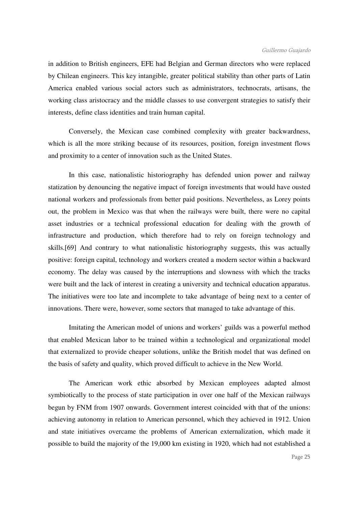in addition to British engineers, EFE had Belgian and German directors who were replaced by Chilean engineers. This key intangible, greater political stability than other parts of Latin America enabled various social actors such as administrators, technocrats, artisans, the working class aristocracy and the middle classes to use convergent strategies to satisfy their interests, define class identities and train human capital.

 Conversely, the Mexican case combined complexity with greater backwardness, which is all the more striking because of its resources, position, foreign investment flows and proximity to a center of innovation such as the United States.

 In this case, nationalistic historiography has defended union power and railway statization by denouncing the negative impact of foreign investments that would have ousted national workers and professionals from better paid positions. Nevertheless, as Lorey points out, the problem in Mexico was that when the railways were built, there were no capital asset industries or a technical professional education for dealing with the growth of infrastructure and production, which therefore had to rely on foreign technology and skills.[69] And contrary to what nationalistic historiography suggests, this was actually positive: foreign capital, technology and workers created a modern sector within a backward economy. The delay was caused by the interruptions and slowness with which the tracks were built and the lack of interest in creating a university and technical education apparatus. The initiatives were too late and incomplete to take advantage of being next to a center of innovations. There were, however, some sectors that managed to take advantage of this.

 Imitating the American model of unions and workers' guilds was a powerful method that enabled Mexican labor to be trained within a technological and organizational model that externalized to provide cheaper solutions, unlike the British model that was defined on the basis of safety and quality, which proved difficult to achieve in the New World.

 The American work ethic absorbed by Mexican employees adapted almost symbiotically to the process of state participation in over one half of the Mexican railways begun by FNM from 1907 onwards. Government interest coincided with that of the unions: achieving autonomy in relation to American personnel, which they achieved in 1912. Union and state initiatives overcame the problems of American externalization, which made it possible to build the majority of the 19,000 km existing in 1920, which had not established a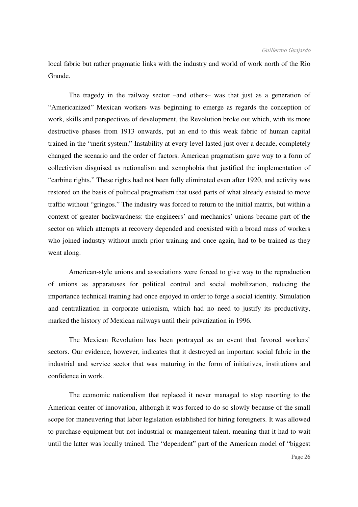local fabric but rather pragmatic links with the industry and world of work north of the Rio Grande.

 The tragedy in the railway sector –and others– was that just as a generation of "Americanized" Mexican workers was beginning to emerge as regards the conception of work, skills and perspectives of development, the Revolution broke out which, with its more destructive phases from 1913 onwards, put an end to this weak fabric of human capital trained in the "merit system." Instability at every level lasted just over a decade, completely changed the scenario and the order of factors. American pragmatism gave way to a form of collectivism disguised as nationalism and xenophobia that justified the implementation of "carbine rights." These rights had not been fully eliminated even after 1920, and activity was restored on the basis of political pragmatism that used parts of what already existed to move traffic without "gringos." The industry was forced to return to the initial matrix, but within a context of greater backwardness: the engineers' and mechanics' unions became part of the sector on which attempts at recovery depended and coexisted with a broad mass of workers who joined industry without much prior training and once again, had to be trained as they went along.

 American-style unions and associations were forced to give way to the reproduction of unions as apparatuses for political control and social mobilization, reducing the importance technical training had once enjoyed in order to forge a social identity. Simulation and centralization in corporate unionism, which had no need to justify its productivity, marked the history of Mexican railways until their privatization in 1996.

 The Mexican Revolution has been portrayed as an event that favored workers' sectors. Our evidence, however, indicates that it destroyed an important social fabric in the industrial and service sector that was maturing in the form of initiatives, institutions and confidence in work.

 The economic nationalism that replaced it never managed to stop resorting to the American center of innovation, although it was forced to do so slowly because of the small scope for maneuvering that labor legislation established for hiring foreigners. It was allowed to purchase equipment but not industrial or management talent, meaning that it had to wait until the latter was locally trained. The "dependent" part of the American model of "biggest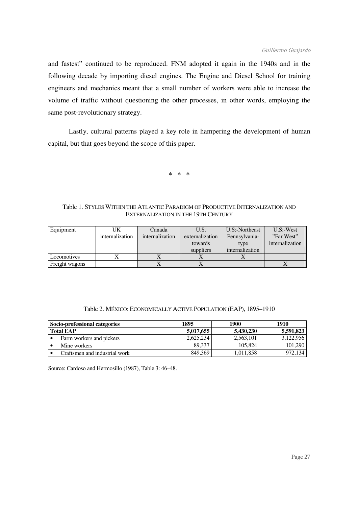and fastest" continued to be reproduced. FNM adopted it again in the 1940s and in the following decade by importing diesel engines. The Engine and Diesel School for training engineers and mechanics meant that a small number of workers were able to increase the volume of traffic without questioning the other processes, in other words, employing the same post-revolutionary strategy.

 Lastly, cultural patterns played a key role in hampering the development of human capital, but that goes beyond the scope of this paper.

**\* \* \*** 

# Table 1. STYLES WITHIN THE ATLANTIC PARADIGM OF PRODUCTIVE INTERNALIZATION AND EXTERNALIZATION IN THE 19TH CENTURY

| Equipment      | UK              | Canada          | U.S.            | U.S:-Northeast  | $U.S:-West$     |
|----------------|-----------------|-----------------|-----------------|-----------------|-----------------|
|                | internalization | internalization | externalization | Pennsylvania-   | "Far West"      |
|                |                 |                 | towards         | type            | internalization |
|                |                 |                 | suppliers       | internalization |                 |
| Locomotives    |                 |                 |                 |                 |                 |
| Freight wagons |                 |                 |                 |                 |                 |

| Table 2. MÉXICO: ECONOMICALLY ACTIVE POPULATION (EAP), 1895-1910 |  |  |  |  |  |  |
|------------------------------------------------------------------|--|--|--|--|--|--|
|------------------------------------------------------------------|--|--|--|--|--|--|

| Socio-professional categories | 1895      | 1900      | 1910      |
|-------------------------------|-----------|-----------|-----------|
| <b>Total EAP</b>              | 5,017,655 | 5.430.230 | 5,591,823 |
| Farm workers and pickers      | 2.625.234 | 2,563,101 | 3.122.956 |
| Mine workers                  | 89.337    | 105,824   | 101.290   |
| Craftsmen and industrial work | 849,369   | 1,011,858 | 972.134   |

Source: Cardoso and Hermosillo (1987), Table 3: 46–48.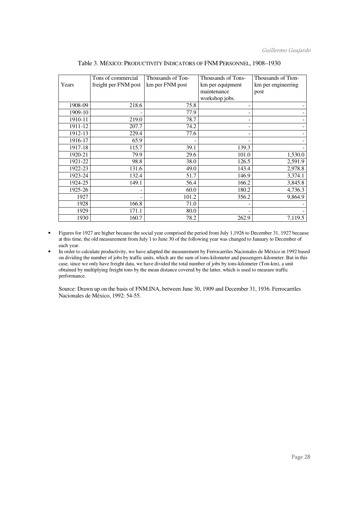|         | Tons of commercial   | Thousands of Ton- | Thousands of Tons- | Thousands of Tton- |
|---------|----------------------|-------------------|--------------------|--------------------|
| Years   | freight per FNM post | km per FNM post   | km per equipment   | km per engineering |
|         |                      |                   | maintenance        | post               |
|         |                      |                   | workshop jobs.     |                    |
| 1908-09 | 218.6                | 75.8              |                    |                    |
| 1909-10 |                      | 77.9              |                    |                    |
| 1910-11 | 219.0                | 78.7              |                    |                    |
| 1911-12 | 207.7                | 74.2              |                    |                    |
| 1912-13 | 229.4                | 77.6              |                    |                    |
| 1916-17 | 65.9                 |                   |                    |                    |
| 1917-18 | 115.7                | 39.1              | 139.3              |                    |
| 1920-21 | 79.9                 | 29.6              | 101.0              | 1,530.0            |
| 1921-22 | 98.8                 | 38.0              | 126.5              | 2,591.9            |
| 1922-23 | 131.6                | 49.0              | 143.4              | 2,978.8            |
| 1923-24 | 132.4                | 51.7              | 146.9              | 3,374.1            |
| 1924-25 | 149.1                | 56.4              | 166.2              | 3,845.8            |
| 1925-26 |                      | 60.0              | 180.2              | 4,736.3            |
| 1927    |                      | 101.2             | 356.2              | 9,864.9            |
| 1928    | 166.8                | 71.0              |                    |                    |
| 1929    | 171.1                | 80.0              |                    |                    |
| 1930    | 160.7                | 78.2              | 262.9              | 7,119.5            |

Table 3. MÉXICO: PRODUCTIVITY INDICATORS OF FNM PERSONNEL, 1908–1930

- Figures for 1927 are higher because the social year comprised the period from July 1,1926 to December 31, 1927 because at this time, the old measurement from July 1 to June 30 of the following year was changed to January to December of each year.
- In order to calculate productivity, we have adapted the measurement by Ferrocarriles Nacionales de México in 1992 based on dividing the number of jobs by traffic units, which are the sum of tons-kilometer and passengers-kilometer. But in this case, since we only have freight data, we have divided the total number of jobs by tons-kilometer (Ton-km), a unit obtained by multiplying freight tons by the mean distance covered by the latter, which is used to measure traffic performance.

Source: Drawn up on the basis of FNM.INA, between June 30, 1909 and December 31, 1936. Ferrocarriles Nacionales de México, 1992: 54-55.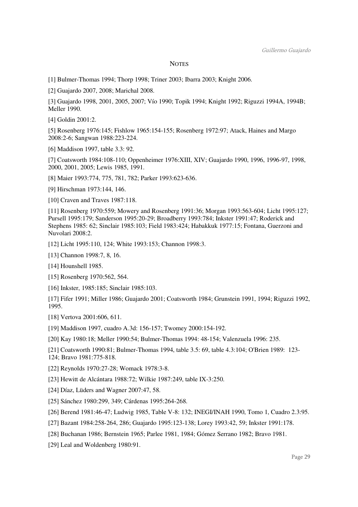#### **NOTES**

[1] Bulmer-Thomas 1994; Thorp 1998; Triner 2003; Ibarra 2003; Knight 2006.

[2] Guajardo 2007, 2008; Marichal 2008.

[3] Guajardo 1998, 2001, 2005, 2007; Vío 1990; Topik 1994; Knight 1992; Riguzzi 1994A, 1994B; Meller 1990.

[4] Goldin 2001:2.

[5] Rosenberg 1976:145; Fishlow 1965:154-155; Rosenberg 1972:97; Atack, Haines and Margo 2008:2-6; Sangwan 1988:223-224.

[6] Maddison 1997, table 3.3: 92.

[7] Coatsworth 1984:108-110; Oppenheimer 1976:XIII, XIV; Guajardo 1990, 1996, 1996-97, 1998, 2000, 2001, 2005; Lewis 1985, 1991.

[8] Maier 1993:774, 775, 781, 782; Parker 1993:623-636.

[9] Hirschman 1973:144, 146.

[10] Craven and Traves 1987:118.

[11] Rosenberg 1970:559; Mowery and Rosenberg 1991:36; Morgan 1993:563-604; Licht 1995:127; Pursell 1995:179; Sanderson 1995:20-29; Broadberry 1993:784; Inkster 1991:47; Roderick and Stephens 1985: 62; Sinclair 1985:103; Field 1983:424; Habakkuk 1977:15; Fontana, Guerzoni and Nuvolari 2008:2.

[12] Licht 1995:110, 124; White 1993:153; Channon 1998:3.

[13] Channon 1998:7, 8, 16.

[14] Hounshell 1985.

[15] Rosenberg 1970:562, 564.

[16] Inkster, 1985:185; Sinclair 1985:103.

[17] Fifer 1991; Miller 1986; Guajardo 2001; Coatsworth 1984; Grunstein 1991, 1994; Riguzzi 1992, 1995.

[18] Vertova 2001:606, 611.

[19] Maddison 1997, cuadro A.3d: 156-157; Twomey 2000:154-192.

[20] Kay 1980:18; Meller 1990:54; Bulmer-Thomas 1994: 48-154; Valenzuela 1996: 235.

[21] Coatsworth 1990:81; Bulmer-Thomas 1994, table 3.5: 69, table 4.3:104; O'Brien 1989: 123- 124; Bravo 1981:775-818.

[22] Reynolds 1970:27-28; Womack 1978:3-8.

[23] Hewitt de Alcántara 1988:72; Wilkie 1987:249, table IX-3:250.

[24] Díaz, Lüders and Wagner 2007:47, 58.

[25] Sánchez 1980:299, 349; Cárdenas 1995:264-268.

[26] Berend 1981:46-47; Ludwig 1985, Table V-8: 132; INEGI/INAH 1990, Tomo 1, Cuadro 2.3:95.

[27] Bazant 1984:258-264, 286; Guajardo 1995:123-138; Lorey 1993:42, 59; Inkster 1991:178.

[28] Buchanan 1986; Bernstein 1965; Parlee 1981, 1984; Gómez Serrano 1982; Bravo 1981.

[29] Leal and Woldenberg 1980:91.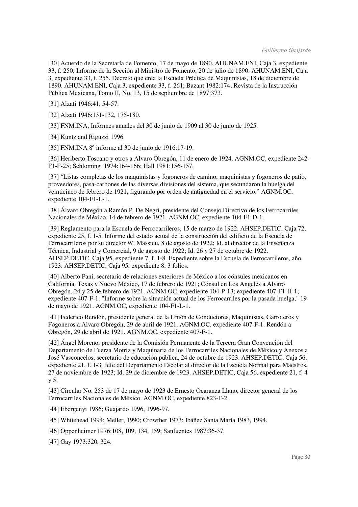[30] Acuerdo de la Secretaría de Fomento, 17 de mayo de 1890. AHUNAM.ENI, Caja 3, expediente 33, f. 250; Informe de la Sección al Ministro de Fomento, 20 de julio de 1890. AHUNAM.ENI, Caja 3, expediente 33, f. 255. Decreto que crea la Escuela Práctica de Maquinistas, 18 de diciembre de 1890. AHUNAM.ENI, Caja 3, expediente 33, f. 261; Bazant 1982:174; Revista de la Instrucción Pública Mexicana, Tomo II, No. 13, 15 de septiembre de 1897:373.

[31] Alzati 1946:41, 54-57.

[32] Alzati 1946:131-132, 175-180.

[33] FNM.INA, Informes anuales del 30 de junio de 1909 al 30 de junio de 1925.

[34] Kuntz and Riguzzi 1996.

[35] FNM.INA 8º informe al 30 de junio de 1916:17-19.

[36] Heriberto Toscano y otros a Alvaro Obregón, 11 de enero de 1924. AGNM.OC, expediente 242- F1-F-25; Schloming 1974:164-166; Hall 1981:156-157.

[37] "Listas completas de los maquinistas y fogoneros de camino, maquinistas y fogoneros de patio, proveedores, pasa-carbones de las diversas divisiones del sistema, que secundaron la huelga del veinticinco de febrero de 1921, figurando por orden de antiguedad en el servicio." AGNM.OC, expediente 104-F1-L-1.

[38] Álvaro Obregón a Ramón P. De Negri, presidente del Consejo Directivo de los Ferrocarriles Nacionales de México, 14 de febrero de 1921. AGNM.OC, expediente 104-F1-D-1.

[39] Reglamento para la Escuela de Ferrocarrileros, 15 de marzo de 1922. AHSEP.DETIC, Caja 72, expediente 25, f. 1-5. Informe del estado actual de la construcción del edificio de la Escuela de Ferrocarrileros por su director W. Massieu, 8 de agosto de 1922; Id. al director de la Enseñanza Técnica, Industrial y Comercial, 9 de agosto de 1922; Id. 26 y 27 de octubre de 1922. AHSEP.DETIC, Caja 95, expediente 7, f. 1-8. Expediente sobre la Escuela de Ferrocarrileros, año 1923. AHSEP.DETIC, Caja 95, expediente 8, 3 folios.

[40] Alberto Pani, secretario de relaciones exteriores de México a los cónsules mexicanos en California, Texas y Nuevo México, 17 de febrero de 1921; Cónsul en Los Angeles a Alvaro Obregón, 24 y 25 de febrero de 1921. AGNM.OC, expediente 104-P-13; expediente 407-F1-H-1; expediente 407-F-1. "Informe sobre la situación actual de los Ferrocarriles por la pasada huelga," 19 de mayo de 1921. AGNM.OC, expediente 104-F1-L-1.

[41] Federico Rendón, presidente general de la Unión de Conductores, Maquinistas, Garroteros y Fogoneros a Alvaro Obregón, 29 de abril de 1921. AGNM.OC, expediente 407-F-1. Rendón a Obregón, 29 de abril de 1921. AGNM.OC, expediente 407-F-1.

[42] Ángel Moreno, presidente de la Comisión Permanente de la Tercera Gran Convención del Departamento de Fuerza Motriz y Maquinaria de los Ferrocarriles Nacionales de México y Anexos a José Vasconcelos, secretario de educación pública, 24 de octubre de 1923. AHSEP.DETIC, Caja 56, expediente 21, f. 1-3. Jefe del Departamento Escolar al director de la Escuela Normal para Maestros, 27 de noviembre de 1923; Id. 29 de diciembre de 1923. AHSEP.DETIC, Caja 56, expediente 21, f. 4 y 5.

[43] Circular No. 253 de 17 de mayo de 1923 de Ernesto Ocaranza Llano, director general de los Ferrocarriles Nacionales de México. AGNM.OC, expediente 823-F-2.

[44] Ebergenyi 1986; Guajardo 1996, 1996-97.

[45] Whitehead 1994; Meller, 1990; Crowther 1973; Ibáñez Santa María 1983, 1994.

[46] Oppenheimer 1976:108, 109, 134, 159; Sanfuentes 1987:36-37.

[47] Gay 1973:320, 324.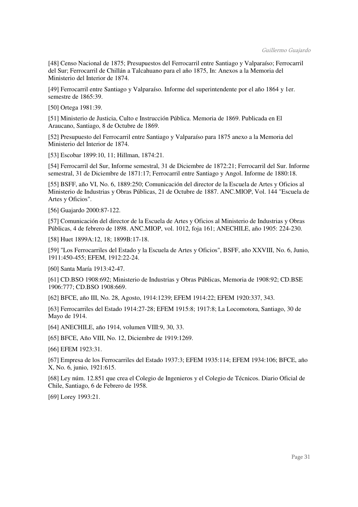[48] Censo Nacional de 1875; Presupuestos del Ferrocarril entre Santiago y Valparaíso; Ferrocarril del Sur; Ferrocarril de Chillán a Talcahuano para el año 1875, In: Anexos a la Memoria del Ministerio del Interior de 1874.

[49] Ferrocarril entre Santiago y Valparaíso. Informe del superintendente por el año 1864 y 1er. semestre de 1865:39.

[50] Ortega 1981:39.

[51] Ministerio de Justicia, Culto e Instrucción Pública. Memoria de 1869. Publicada en El Araucano, Santiago, 8 de Octubre de 1869.

[52] Presupuesto del Ferrocarril entre Santiago y Valparaíso para 1875 anexo a la Memoria del Ministerio del Interior de 1874.

[53] Escobar 1899:10, 11; Hillman, 1874:21.

[54] Ferrocarril del Sur, Informe semestral, 31 de Diciembre de 1872:21; Ferrocarril del Sur. Informe semestral, 31 de Diciembre de 1871:17; Ferrocarril entre Santiago y Angol. Informe de 1880:18.

[55] BSFF, año VI, No. 6, 1889:250; Comunicación del director de la Escuela de Artes y Oficios al Ministerio de Industrias y Obras Públicas, 21 de Octubre de 1887. ANC.MIOP, Vol. 144 "Escuela de Artes y Oficios".

[56] Guajardo 2000:87-122.

[57] Comunicación del director de la Escuela de Artes y Oficios al Ministerio de Industrias y Obras Públicas, 4 de febrero de 1898. ANC.MIOP, vol. 1012, foja 161; ANECHILE, año 1905: 224-230.

[58] Huet 1899A:12, 18; 1899B:17-18.

[59] "Los Ferrocarriles del Estado y la Escuela de Artes y Oficios", BSFF, año XXVIII, No. 6, Junio, 1911:450-455; EFEM, 1912:22-24.

[60] Santa María 1913:42-47.

[61] CD.BSO 1908:692; Ministerio de Industrias y Obras Públicas, Memoria de 1908:92; CD.BSE 1906:777; CD.BSO 1908:669.

[62] BFCE, año III, No. 28, Agosto, 1914:1239; EFEM 1914:22; EFEM 1920:337, 343.

[63] Ferrocarriles del Estado 1914:27-28; EFEM 1915:8; 1917:8; La Locomotora, Santiago, 30 de Mayo de 1914.

[64] ANECHILE, año 1914, volumen VIII:9, 30, 33.

[65] BFCE, Año VIII, No. 12, Diciembre de 1919:1269.

[66] EFEM 1923:31.

[67] Empresa de los Ferrocarriles del Estado 1937:3; EFEM 1935:114; EFEM 1934:106; BFCE, año X, No. 6, junio, 1921:615.

[68] Ley núm. 12.851 que crea el Colegio de Ingenieros y el Colegio de Técnicos. Diario Oficial de Chile, Santiago, 6 de Febrero de 1958.

[69] Lorey 1993:21.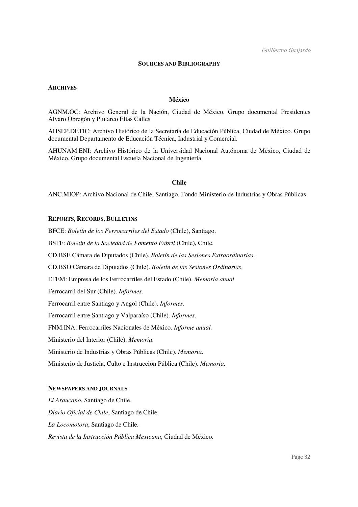# **SOURCES AND BIBLIOGRAPHY**

#### **ARCHIVES**

# **México**

AGNM.OC: Archivo General de la Nación, Ciudad de México. Grupo documental Presidentes Álvaro Obregón y Plutarco Elías Calles

AHSEP.DETIC: Archivo Histórico de la Secretaría de Educación Pública, Ciudad de México. Grupo documental Departamento de Educación Técnica, Industrial y Comercial.

AHUNAM.ENI: Archivo Histórico de la Universidad Nacional Autónoma de México, Ciudad de México. Grupo documental Escuela Nacional de Ingeniería.

# **Chile**

ANC.MIOP: Archivo Nacional de Chile, Santiago. Fondo Ministerio de Industrias y Obras Públicas

# **REPORTS, RECORDS, BULLETINS**

BFCE: *Boletín de los Ferrocarriles del Estado* (Chile), Santiago. BSFF: *Boletín de la Sociedad de Fomento Fabril* (Chile), Chile. CD.BSE Cámara de Diputados (Chile). *Boletín de las Sesiones Extraordinarias*. CD.BSO Cámara de Diputados (Chile). *Boletín de las Sesiones Ordinarias*. EFEM: Empresa de los Ferrocarriles del Estado (Chile). *Memoria anual* Ferrocarril del Sur (Chile). *Informes*. Ferrocarril entre Santiago y Angol (Chile). *Informes.* Ferrocarril entre Santiago y Valparaíso (Chile). *Informes*. FNM.INA: Ferrocarriles Nacionales de México. *Informe anual.*  Ministerio del Interior (Chile). *Memoria*. Ministerio de Industrias y Obras Públicas (Chile). *Memoria*. Ministerio de Justicia, Culto e Instrucción Pública (Chile). *Memoria*.

#### **NEWSPAPERS AND JOURNALS**

*El Araucano*, Santiago de Chile. *Diario Oficial de Chile*, Santiago de Chile. *La Locomotora*, Santiago de Chile. *Revista de la Instrucción Pública Mexicana*, Ciudad de México.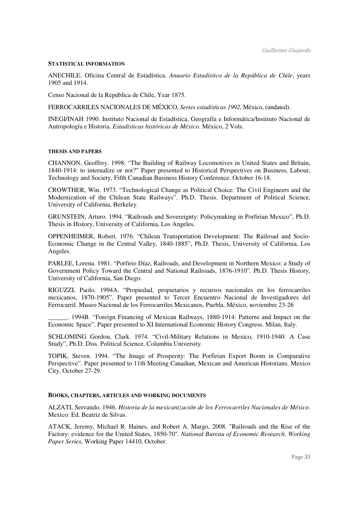#### **STATISTICAL INFORMATION**

ANECHILE. Oficina Central de Estadística. *Anuario Estadístico de la República de Chile*, years 1905 and 1914.

Censo Nacional de la República de Chile, Year 1875.

FERROCARRILES NACIONALES DE MÉXICO, *Series estadísticas 1992*, México, (undated).

INEGI/INAH 1990. Instituto Nacional de Estadística, Geografía e Informática/Instituto Nacional de Antropología e Historia. *Estadísticas históricas de México*. México, 2 Vols.

#### **THESIS AND PAPERS**

CHANNON, Geoffrey. 1998. "The Building of Railway Locomotives in United States and Britain, 1840-1914: to internalize or not?" Paper presented to Historical Perspectives on Business, Labour, Technology and Society, Fifth Canadian Business History Conference. October 16-18.

CROWTHER, Win. 1973. "Technological Change as Political Choice: The Civil Engineers and the Modernization of the Chilean State Railways". Ph.D. Thesis. Department of Political Science, University of California, Berkeley.

GRUNSTEIN, Arturo. 1994. "Railroads and Sovereignty: Policymaking in Porfirian Mexico", Ph.D. Thesis in History, University of California, Los Angeles.

OPPENHEIMER, Robert. 1976. "Chilean Transportation Development: The Railroad and Socio-Economic Change in the Central Valley, 1840-1885", Ph.D. Thesis, University of California, Los Angeles.

PARLEE, Lorena. 1981. "Porfirio Díaz, Railroads, and Development in Northern Mexico: a Study of Government Policy Toward the Central and National Railroads, 1876-1910". Ph.D. Thesis History, University of California, San Diego.

RIGUZZI, Paolo. 1994A. "Propiedad, propietarios y recursos nacionales en los ferrocarriles mexicanos, 1870-1905". Paper presented to Tercer Encuentro Nacional de Investigadores del Ferrocarril. Museo Nacional de los Ferrocarriles Mexicanos, Puebla, México, noviembre 23-26

\_\_\_\_\_\_. 1994B. "Foreign Financing of Mexican Railways, 1880-1914: Patterns and Impact on the Economic Space". Paper presented to XI International Economic History Congress. Milan, Italy.

SCHLOMING Gordon, Clark. 1974. "Civil-Military Relations in Mexico, 1910-1940: A Case Study", Ph.D. Diss. Political Science, Columbia University.

TOPIK, Steven. 1994. "The Image of Prosperity: The Porfirian Export Boom in Comparative Perspective". Paper presented to 11th Meeting Canadian, Mexican and American Historians. Mexico City, October 27-29.

# **BOOKS, CHAPTERS, ARTICLES AND WORKING DOCUMENTS**

ALZATI, Servando. 1946. *Historia de la mexicanización de los Ferrocarriles Nacionales de México*. Mexico: Ed. Beatriz de Silvas.

ATACK, Jeremy, Michael R. Haines, and Robert A. Margo, 2008. "Railroads and the Rise of the Factory: evidence for the United States, 1850-70". *National Bureau of Economic Research*. *Working Paper Series*, Working Paper 14410, October.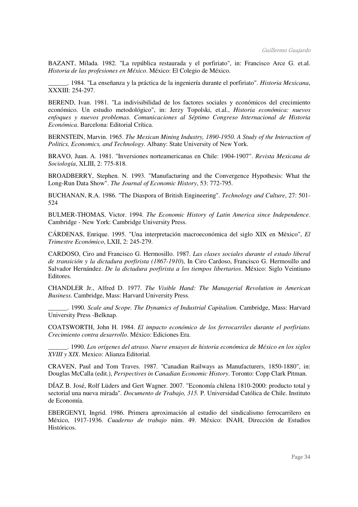BAZANT, Mílada. 1982. "La república restaurada y el porfiriato", in: Francisco Arce G. et.al. *Historia de las profesiones en México*. México: El Colegio de México.

\_\_\_\_\_\_. 1984. "La enseñanza y la práctica de la ingeniería durante el porfiriato". *Historia Mexicana*, XXXIII: 254-297.

BEREND, Ivan. 1981. "La indivisibilidad de los factores sociales y económicos del crecimiento económico. Un estudio metodológico", in: Jerzy Topolski, et.al., *Historia económica: nuevos enfoques y nuevos problemas*. *Comunicaciones al Séptimo Congreso Internacional de Historia Económica*. Barcelona: Editorial Crítica.

BERNSTEIN, Marvin. 1965. *The Mexican Mining Industry, 1890-1950. A Study of the Interaction of Politics, Economics, and Technology*. Albany: State University of New York.

BRAVO, Juan. A. 1981. "Inversiones norteamericanas en Chile: 1904-1907". *Revista Mexicana de Sociología*, XLIII, 2: 775-818.

BROADBERRY, Stephen. N. 1993. "Manufacturing and the Convergence Hypothesis: What the Long-Run Data Show". *The Journal of Economic History*, 53: 772-795.

BUCHANAN, R.A. 1986. "The Diaspora of British Engineering". *Technology and Culture*, 27: 501- 524

BULMER-THOMAS, Victor. 1994. *The Economic History of Latin America since Independence*. Cambridge - New York: Cambridge University Press.

CÁRDENAS, Enrique. 1995. "Una interpretación macroeconómica del siglo XIX en México", *El Trimestre Económico*, LXII, 2: 245-279.

CARDOSO, Ciro and Francisco G. Hermosillo. 1987. *Las clases sociales durante el estado liberal de transición y la dictadura porfirista (1867-1910*), In Ciro Cardoso, Francisco G. Hermosillo and Salvador Hernández. *De la dictadura porfirista a los tiempos libertarios*. México: Siglo Veintiuno Editores.

CHANDLER Jr., Alfred D. 1977. *The Visible Hand: The Managerial Revolution in American Business*. Cambridge, Mass: Harvard University Press.

\_\_\_\_\_\_. 1990. *Scale and Scope. The Dynamics of Industrial Capitalism*. Cambridge, Mass: Harvard University Press -Belknap.

COATSWORTH, John H. 1984. *El impacto económico de los ferrocarriles durante el porfiriato. Crecimiento contra desarrollo*. México: Ediciones Era.

\_\_\_\_\_\_. 1990. *Los orígenes del atraso. Nueve ensayos de historia económica de México en los siglos XVIII y XIX*. Mexico: Alianza Editorial.

CRAVEN, Paul and Tom Traves. 1987. "Canadian Railways as Manufacturers, 1850-1880", in: Douglas McCalla (edit.), *Perspectives in Canadian Economic History*. Toronto: Copp Clark Pitman.

DÍAZ B. José, Rolf Lüders and Gert Wagner. 2007. "Economía chilena 1810-2000: producto total y sectorial una nueva mirada". *Documento de Trabajo, 315.* P. Universidad Católica de Chile. Instituto de Economía.

EBERGENYI, Ingrid. 1986. Primera aproximación al estudio del sindicalismo ferrocarrilero en México, 1917-1936. *Cuaderno de trabajo* núm. 49. México: INAH, Dirección de Estudios Históricos.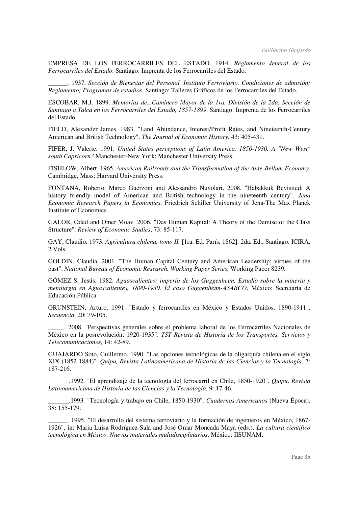EMPRESA DE LOS FERROCARRILES DEL ESTADO. 1914. *Reglamento Jeneral de los Ferrocarriles del Estado*. Santiago: Imprenta de los Ferrocarriles del Estado.

\_\_\_\_\_\_. 1937. *Sección de Bienestar del Personal. Instituto Ferroviario. Condiciones de admisión; Reglamento; Programas de estudios*. Santiago: Talleres Gráficos de los Ferrocarriles del Estado.

ESCOBAR, M.J. 1899. *Memorias de...Caminero Mayor de la 1ra. División de la 2da. Sección de Santiago a Talca en los Ferrocarriles del Estado, 1857-1899*. Santiago: Imprenta de los Ferrocarriles del Estado.

FIELD, Alexander James. 1983. "Land Abundance, Interest/Profit Rates, and Nineteenth-Century American and British Technology". *The Journal of Economic History*, 43: 405-431.

FIFER, J. Valerie. 1991. *United States perceptions of Latin America, 1850-1930. A "New West" south Capricorn?* Manchester-New York: Manchester University Press.

FISHLOW, Albert. 1965. *American Railroads and the Transformation of the Ante-Bellum Economy*. Cambridge, Mass: Harvard University Press.

FONTANA, Roberto, Marco Guerzoni and Alessandro Nuvolari. 2008. "Habakkuk Revisited: A history friendly model of American and British technology in the nineteenth century". *Jena Economic Research Papers in Economics*. Friedrich Schiller University of Jena-The Max Planck Institute of Economics.

GALOR, Oded and Omer Moav. 2006. "Das Human Kapital: A Theory of the Demise of the Class Structure". *Review of Economic Studies*, 73: 85-117.

GAY, Claudio. 1973. *Agricultura chilena, tomo II.* [1ra. Ed. París, 1862]. 2da. Ed., Santiago. ICIRA, 2 Vols.

GOLDIN, Claudia. 2001. "The Human Capital Century and American Leadership: virtues of the past". *National Bureau of Economic Research. Working Paper Series,* Working Paper 8239.

GÓMEZ S, Jesús. 1982. *Aguascalientes: imperio de los Guggenheim. Estudio sobre la minería y metalurgia en Aguascalientes, 1890-1930. El caso Guggenheim-ASARCO*. México: Secretaría de Educación Pública.

GRUNSTEIN, Arturo. 1991. "Estado y ferrocarriles en México y Estados Unidos, 1890-1911". *Secuencia*, 20: 79-105.

\_\_\_\_\_. 2008. "Perspectivas generales sobre el problema laboral de los Ferrocarriles Nacionales de México en la posrevolución, 1920-1935". *TST Revista de Historia de los Transportes, Servicios y Telecomunicaciones*, 14: 42-89.

GUAJARDO Soto, Guillermo. 1990. "Las opciones tecnológicas de la oligarquía chilena en el siglo XIX (1852-1884)". *Quipu, Revista Latinoamericana de Historia de las Ciencias y la Tecnología*, 7: 187-216.

.1992. "El aprendizaje de la tecnología del ferrocarril en Chile, 1850-1920". *Quipu*. *Revista Latinoamericana de Historia de las Ciencias y la Tecnología*, 9: 17-46.

.1993. "Tecnología y trabajo en Chile, 1850-1930". *Cuadernos Americanos* (Nueva Época), 38: 155-179.

\_\_\_\_\_\_. 1995. "El desarrollo del sistema ferroviario y la formación de ingenieros en México, 1867- 1926", in: Maria Luisa Rodríguez-Sala and José Omar Moncada Maya (eds.), *La cultura científico tecnológica en México. Nuevos materiales multidisciplinarios*. México: IISUNAM.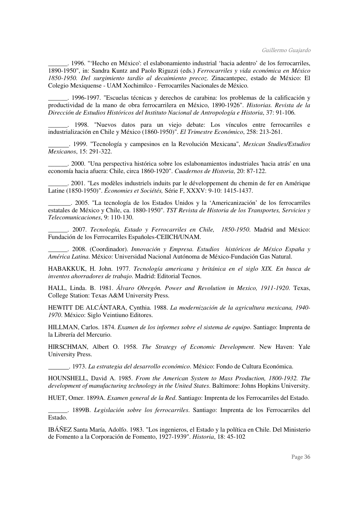\_\_\_\_\_\_. 1996. "'Hecho en México': el eslabonamiento industrial 'hacia adentro' de los ferrocarriles, 1890-1950", in: Sandra Kuntz and Paolo Riguzzi (eds.) *Ferrocarriles y vida económica en México 1850-1950. Del surgimiento tardío al decaimiento precoz*. Zinacantepec, estado de México: El Colegio Mexiquense - UAM Xochimilco - Ferrocarriles Nacionales de México.

\_\_\_\_\_\_. 1996-1997. "Escuelas técnicas y derechos de carabina: los problemas de la calificación y productividad de la mano de obra ferrocarrilera en México, 1890-1926". *Historias. Revista de la Dirección de Estudios Históricos del Instituto Nacional de Antropología e Historia*, 37: 91-106.

\_\_\_\_\_\_. 1998. "Nuevos datos para un viejo debate: Los vínculos entre ferrocarriles e industrialización en Chile y México (1860-1950)". *El Trimestre Económico*, 258: 213-261.

. 1999. "Tecnología y campesinos en la Revolución Mexicana", *Mexican Studies/Estudios Mexicanos*, 15: 291-322.

\_\_\_\_\_\_. 2000. "Una perspectiva histórica sobre los eslabonamientos industriales 'hacia atrás' en una economía hacia afuera: Chile, circa 1860-1920". *Cuadernos de Historia*, 20: 87-122.

\_\_\_\_\_\_. 2001. "Les modèles industriels induits par le développement du chemin de fer en Amérique Latine (1850-1950)". *Économies et Sociétés,* Série F, XXXV: 9-10: 1415-1437.

\_\_\_\_\_\_\_. 2005. "La tecnología de los Estados Unidos y la 'Americanización' de los ferrocarriles estatales de México y Chile, ca. 1880-1950". *TST Revista de Historia de los Transportes, Servicios y Telecomunicaciones*, 9: 110-130.

\_\_\_\_\_\_. 2007. *Tecnología, Estado y Ferrocarriles en Chile, 1850-1950*. Madrid and México: Fundación de los Ferrocarriles Españoles-CEIICH/UNAM.

\_\_\_\_\_\_. 2008. (Coordinador). *Innovación y Empresa. Estudios históricos de México España y América Latina*. México: Universidad Nacional Autónoma de México-Fundación Gas Natural.

HABAKKUK, H. John. 1977. *Tecnología americana y británica en el siglo XIX. En busca de inventos ahorradores de trabajo*. Madrid: Editorial Tecnos.

HALL, Linda. B. 1981. *Álvaro Obregón. Power and Revolution in Mexico, 1911-1920*. Texas, College Station: Texas A&M University Press.

HEWITT DE ALCÁNTARA, Cynthia. 1988. *La modernización de la agricultura mexicana, 1940- 1970*. México: Siglo Veintiuno Editores.

HILLMAN, Carlos. 1874. *Examen de los informes sobre el sistema de equipo*. Santiago: Imprenta de la Librería del Mercurio.

HIRSCHMAN, Albert O. 1958. *The Strategy of Economic Development*. New Haven: Yale University Press.

. 1973. *La estrategia del desarrollo económico*. México: Fondo de Cultura Económica.

HOUNSHELL, David A. 1985. *From the American System to Mass Production, 1800-1932. The development of manufacturing technology in the United States*. Baltimore: Johns Hopkins University.

HUET, Omer. 1899A. *Examen general de la Red*. Santiago: Imprenta de los Ferrocarriles del Estado.

\_\_\_\_\_\_. 1899B. *Legislación sobre los ferrocarriles*. Santiago: Imprenta de los Ferrocarriles del Estado.

IBÁÑEZ Santa María, Adolfo. 1983. "Los ingenieros, el Estado y la política en Chile. Del Ministerio de Fomento a la Corporación de Fomento, 1927-1939". *Historia*, 18: 45-102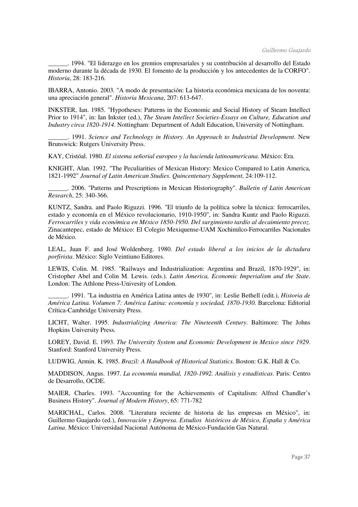\_\_\_\_\_\_. 1994. "El liderazgo en los gremios empresariales y su contribución al desarrollo del Estado moderno durante la década de 1930. El fomento de la producción y los antecedentes de la CORFO". *Historia*, 28: 183-216.

IBARRA, Antonio. 2003. "A modo de presentación: La historia económica mexicana de los noventa: una apreciación general". *Historia Mexicana*, 207: 613-647.

INKSTER, Ian. 1985. "Hypotheses: Patterns in the Economic and Social History of Steam Intellect Prior to 1914", in: Ian Inkster (ed.), *The Steam Intellect Societies-Essays on Culture, Education and Industry circa 1820-1914*. Nottingham: Department of Adult Education, University of Nottingham.

\_\_\_\_\_\_. 1991. *Science and Technology in History. An Approach to Industrial Development*. New Brunswick: Rutgers University Press.

KAY, Cristóal. 1980. *El sistema señorial europeo y la hacienda latinoamericana*. México: Era.

KNIGHT, Alan. 1992. "The Peculiarities of Mexican History: Mexico Compared to Latin America, 1821-1992" *Journal of Latin American Studies*. *Quincentenary Supplement*, 24:109-112.

\_\_\_\_\_\_. 2006. "Patterns and Prescriptions in Mexican Historiography". *Bulletin of Latin American Research*, 25: 340-366.

KUNTZ, Sandra. and Paolo Riguzzi. 1996. "El triunfo de la política sobre la técnica: ferrocarriles, estado y economía en el México revolucionario, 1910-1950", in: Sandra Kuntz and Paolo Riguzzi. *Ferrocarriles y vida económica en México 1850-1950. Del surgimiento tardío al decaimiento precoz*. Zinacantepec, estado de México: El Colegio Mexiquense-UAM Xochimilco-Ferrocarriles Nacionales de México.

LEAL, Juan F. and José Woldenberg. 1980. *Del estado liberal a los inicios de la dictadura porfirista*. México: Siglo Veintiuno Editores.

LEWIS, Colin. M. 1985. "Railways and Industrialization: Argentina and Brazil, 1870-1929", in: Cristopher Abel and Colin M. Lewis. (eds.). *Latin America, Economic Imperialism and the State*. London: The Athlone Press-Univesity of London.

\_\_\_\_\_\_. 1991. "La industria en América Latina antes de 1930", in: Leslie Bethell (edit.), *Historia de América Latina. Volumen 7: América Latina: economía y sociedad, 1870-1930*. Barcelona: Editorial Crítica-Cambridge University Press.

LICHT, Walter. 1995. *Industrializing America: The Nineteenth Century*. Baltimore: The Johns Hopkins University Press.

LOREY, David. E. 1993. *The University System and Economic Development in Mexico since 1929*. Stanford: Stanford University Press.

LUDWIG, Armin. K. 1985. *Brazil: A Handbook of Historical Statistics*. Boston: G.K. Hall & Co.

MADDISON, Angus. 1997. *La economía mundial, 1820-1992. Análisis y estadísticas*. Paris: Centro de Desarrollo, OCDE.

MAIER, Charles. 1993. "Accounting for the Achievements of Capitalism: Alfred Chandler's Business History". *Journal of Modern History*, 65: 771-782

MARICHAL, Carlos. 2008. "Literatura reciente de historia de las empresas en México", in: Guillermo Guajardo (ed.), *Innovación y Empresa. Estudios históricos de México, España y América Latina*. México: Universidad Nacional Autónoma de México-Fundación Gas Natural.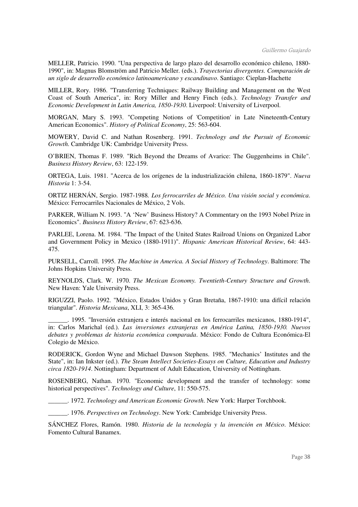MELLER, Patricio. 1990. "Una perspectiva de largo plazo del desarrollo económico chileno, 1880- 1990", in: Magnus Blomström and Patricio Meller. (eds.). *Trayectorias divergentes. Comparación de un siglo de desarrollo económico latinoamericano y escandinavo*. Santiago: Cieplan-Hachette

MILLER, Rory. 1986. "Transferring Techniques: Railway Building and Management on the West Coast of South America", in: Rory Miller and Henry Finch (eds.). *Technology Transfer and Economic Development in Latin America, 1850-1930*. Liverpool: University of Liverpool.

MORGAN, Mary S. 1993. "Competing Notions of 'Competition' in Late Nineteenth-Century American Economics". *History of Political Economy*, 25: 563-604.

MOWERY, David C. and Nathan Rosenberg. 1991. *Technology and the Pursuit of Economic Growth*. Cambridge UK: Cambridge University Press.

O'BRIEN, Thomas F. 1989. "Rich Beyond the Dreams of Avarice: The Guggenheims in Chile". *Business History Review*, 63: 122-159.

ORTEGA, Luis. 1981. "Acerca de los orígenes de la industrialización chilena, 1860-1879". *Nueva Historia* 1: 3-54.

ORTIZ HERNÁN, Sergio. 1987-1988*. Los ferrocarriles de México. Una visión social y económica*. México: Ferrocarriles Nacionales de México, 2 Vols.

PARKER, William N. 1993. "A 'New' Business History? A Commentary on the 1993 Nobel Prize in Economics". *Business History Review*, 67: 623-636.

PARLEE, Lorena. M. 1984. "The Impact of the United States Railroad Unions on Organized Labor and Government Policy in Mexico (1880-1911)". *Hispanic American Historical Review*, 64: 443- 475.

PURSELL, Carroll. 1995. *The Machine in America. A Social History of Technology*. Baltimore: The Johns Hopkins University Press.

REYNOLDS, Clark. W. 1970. *The Mexican Economy. Twentieth-Century Structure and Growth*. New Haven: Yale University Press.

RIGUZZI, Paolo. 1992. "México, Estados Unidos y Gran Bretaña, 1867-1910: una difícil relación triangular". *Historia Mexicana*, XLI, 3: 365-436.

\_\_\_\_\_\_. 1995. "Inversión extranjera e interés nacional en los ferrocarriles mexicanos, 1880-1914", in: Carlos Marichal (ed.). *Las inversiones extranjeras en América Latina, 1850-1930. Nuevos debates y problemas de historia económica comparada*. México: Fondo de Cultura Económica-El Colegio de México.

RODERICK, Gordon Wyne and Michael Dawson Stephens. 1985. "Mechanics' Institutes and the State", in: Ian Inkster (ed.). *The Steam Intellect Societies-Essays on Culture, Education and Industry circa 1820-1914*. Nottingham: Department of Adult Education, University of Nottingham.

ROSENBERG, Nathan. 1970. "Economic development and the transfer of technology: some historical perspectives". *Technology and Culture*, 11: 550-575.

\_\_\_\_\_\_. 1972. *Technology and American Economic Growth*. New York: Harper Torchbook.

\_\_\_\_\_\_. 1976. *Perspectives on Technology*. New York: Cambridge University Press.

SÁNCHEZ Flores, Ramón. 1980. *Historia de la tecnología y la invención en México*. México: Fomento Cultural Banamex.